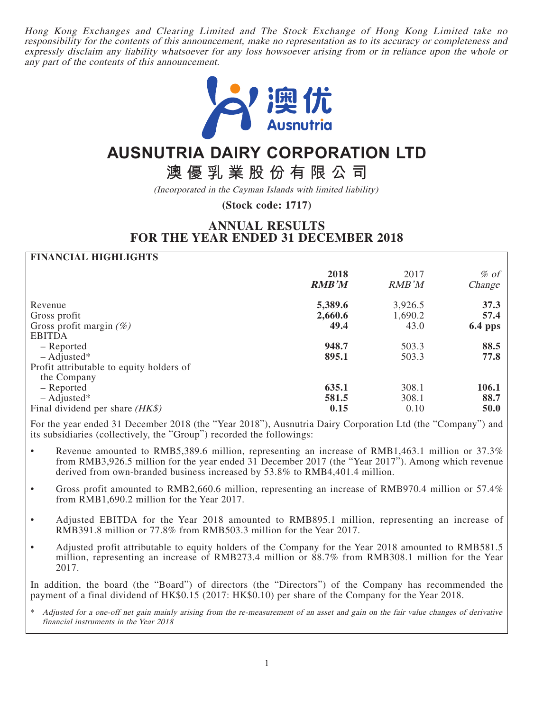Hong Kong Exchanges and Clearing Limited and The Stock Exchange of Hong Kong Limited take no responsibility for the contents of this announcement, make no representation as to its accuracy or completeness and expressly disclaim any liability whatsoever for any loss howsoever arising from or in reliance upon the whole or any part of the contents of this announcement.



# **AUSNUTRIA DAIRY CORPORATION LTD**

**澳優乳業股份有限公司**

(Incorporated in the Cayman Islands with limited liability)

**(Stock code: 1717)**

# **ANNUAL RESULTS FOR THE YEAR ENDED 31 DECEMBER 2018**

# **FINANCIAL HIGHLIGHTS**

|                                          | 2018<br><b>RMB'M</b> | 2017<br>RMB'M | $\%$ of<br>Change |
|------------------------------------------|----------------------|---------------|-------------------|
| Revenue                                  | 5,389.6              | 3,926.5       | 37.3              |
| Gross profit                             | 2,660.6              | 1,690.2       | 57.4              |
| Gross profit margin $(\%)$               | 49.4                 | 43.0          | <b>6.4 pps</b>    |
| <b>EBITDA</b>                            |                      |               |                   |
| – Reported                               | 948.7                | 503.3         | 88.5              |
| $-$ Adjusted*                            | 895.1                | 503.3         | 77.8              |
| Profit attributable to equity holders of |                      |               |                   |
| the Company                              |                      |               |                   |
| - Reported                               | 635.1                | 308.1         | <b>106.1</b>      |
| $-$ Adjusted*                            | 581.5                | 308.1         | 88.7              |
| Final dividend per share $(HK\$ )        | 0.15                 | 0.10          | 50.0              |

For the year ended 31 December 2018 (the "Year 2018"), Ausnutria Dairy Corporation Ltd (the "Company") and its subsidiaries (collectively, the "Group") recorded the followings:

- Revenue amounted to RMB5,389.6 million, representing an increase of RMB1,463.1 million or 37.3% from RMB3,926.5 million for the year ended 31 December 2017 (the "Year 2017"). Among which revenue derived from own-branded business increased by 53.8% to RMB4,401.4 million.
- Gross profit amounted to RMB2,660.6 million, representing an increase of RMB970.4 million or 57.4% from RMB1,690.2 million for the Year 2017.
- Adjusted EBITDA for the Year 2018 amounted to RMB895.1 million, representing an increase of RMB391.8 million or 77.8% from RMB503.3 million for the Year 2017.
- Adjusted profit attributable to equity holders of the Company for the Year 2018 amounted to RMB581.5 million, representing an increase of RMB273.4 million or 88.7% from RMB308.1 million for the Year 2017.

In addition, the board (the "Board") of directors (the "Directors") of the Company has recommended the payment of a final dividend of HK\$0.15 (2017: HK\$0.10) per share of the Company for the Year 2018.

\* Adjusted for a one-off net gain mainly arising from the re-measurement of an asset and gain on the fair value changes of derivative financial instruments in the Year 2018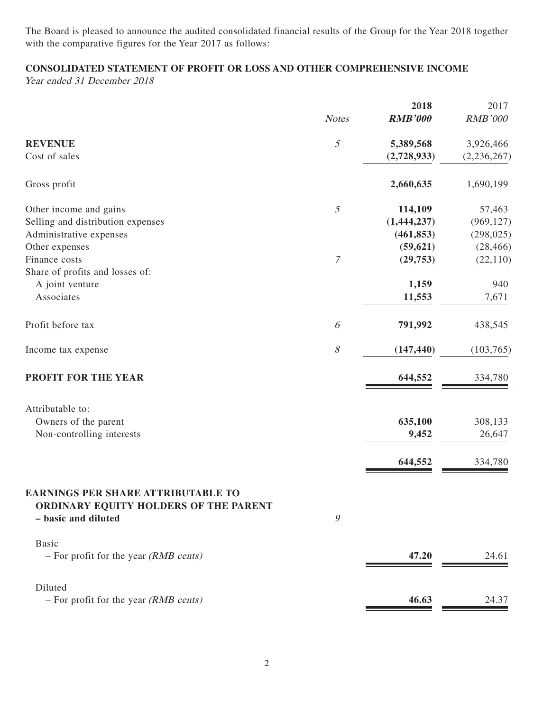The Board is pleased to announce the audited consolidated financial results of the Group for the Year 2018 together with the comparative figures for the Year 2017 as follows:

# **CONSOLIDATED STATEMENT OF PROFIT OR LOSS AND OTHER COMPREHENSIVE INCOME**

Year ended 31 December 2018

|                                                                                    | <b>Notes</b>     | 2018<br><b>RMB'000</b> | 2017<br><b>RMB'000</b> |
|------------------------------------------------------------------------------------|------------------|------------------------|------------------------|
|                                                                                    |                  |                        |                        |
| <b>REVENUE</b>                                                                     | $\mathfrak{I}$   | 5,389,568              | 3,926,466              |
| Cost of sales                                                                      |                  | (2,728,933)            | (2, 236, 267)          |
| Gross profit                                                                       |                  | 2,660,635              | 1,690,199              |
| Other income and gains                                                             | $\mathfrak{I}$   | 114,109                | 57,463                 |
| Selling and distribution expenses                                                  |                  | (1,444,237)            | (969, 127)             |
| Administrative expenses                                                            |                  | (461, 853)             | (298, 025)             |
| Other expenses                                                                     |                  | (59, 621)              | (28, 466)              |
| Finance costs                                                                      | $\boldsymbol{7}$ | (29, 753)              | (22, 110)              |
| Share of profits and losses of:                                                    |                  |                        |                        |
| A joint venture                                                                    |                  | 1,159                  | 940                    |
| Associates                                                                         |                  | 11,553                 | 7,671                  |
| Profit before tax                                                                  | 6                | 791,992                | 438,545                |
| Income tax expense                                                                 | $\mathcal S$     | (147, 440)             | (103, 765)             |
| PROFIT FOR THE YEAR                                                                |                  | 644,552                | 334,780                |
| Attributable to:                                                                   |                  |                        |                        |
| Owners of the parent                                                               |                  | 635,100                | 308,133                |
| Non-controlling interests                                                          |                  | 9,452                  | 26,647                 |
|                                                                                    |                  | 644,552                | 334,780                |
| <b>EARNINGS PER SHARE ATTRIBUTABLE TO</b><br>ORDINARY EQUITY HOLDERS OF THE PARENT |                  |                        |                        |
| - basic and diluted                                                                | 9                |                        |                        |
| <b>Basic</b>                                                                       |                  |                        |                        |
| $-$ For profit for the year (RMB cents)                                            |                  | 47.20                  | 24.61                  |
| Diluted                                                                            |                  |                        |                        |
| - For profit for the year (RMB cents)                                              |                  | 46.63                  | 24.37                  |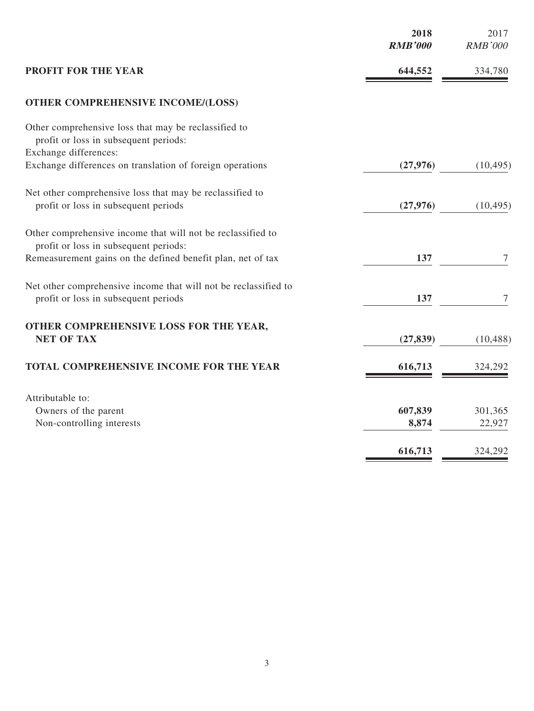|                                                                                               | 2018<br><b>RMB'000</b> | 2017<br><b>RMB'000</b> |
|-----------------------------------------------------------------------------------------------|------------------------|------------------------|
| <b>PROFIT FOR THE YEAR</b>                                                                    | 644,552                | 334,780                |
| <b>OTHER COMPREHENSIVE INCOME/(LOSS)</b>                                                      |                        |                        |
| Other comprehensive loss that may be reclassified to<br>profit or loss in subsequent periods: |                        |                        |
| Exchange differences:                                                                         |                        |                        |
| Exchange differences on translation of foreign operations                                     | (27, 976)              | (10, 495)              |
| Net other comprehensive loss that may be reclassified to                                      |                        |                        |
| profit or loss in subsequent periods                                                          | (27, 976)              | (10, 495)              |
|                                                                                               |                        |                        |
| Other comprehensive income that will not be reclassified to                                   |                        |                        |
| profit or loss in subsequent periods:                                                         |                        |                        |
| Remeasurement gains on the defined benefit plan, net of tax                                   | 137                    | 7                      |
| Net other comprehensive income that will not be reclassified to                               |                        |                        |
| profit or loss in subsequent periods                                                          | 137                    | 7                      |
|                                                                                               |                        |                        |
| OTHER COMPREHENSIVE LOSS FOR THE YEAR,                                                        |                        |                        |
| <b>NET OF TAX</b>                                                                             | (27, 839)              | (10, 488)              |
|                                                                                               |                        |                        |
| TOTAL COMPREHENSIVE INCOME FOR THE YEAR                                                       | 616,713                | 324,292                |
| Attributable to:                                                                              |                        |                        |
| Owners of the parent                                                                          | 607,839                | 301,365                |
| Non-controlling interests                                                                     | 8,874                  | 22,927                 |
|                                                                                               |                        |                        |
|                                                                                               | 616,713                | 324,292                |
|                                                                                               |                        |                        |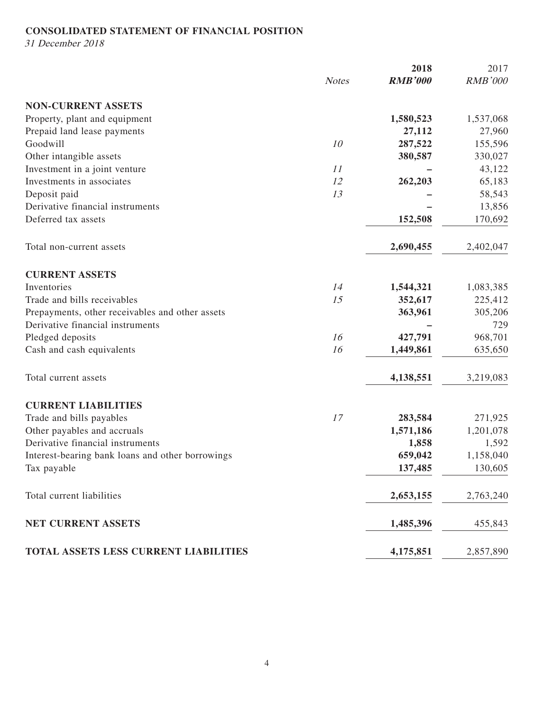# **CONSOLIDATED STATEMENT OF FINANCIAL POSITION**

31 December 2018

|                                                  |              | 2018           | 2017           |
|--------------------------------------------------|--------------|----------------|----------------|
|                                                  | <b>Notes</b> | <b>RMB'000</b> | <b>RMB'000</b> |
| <b>NON-CURRENT ASSETS</b>                        |              |                |                |
| Property, plant and equipment                    |              | 1,580,523      | 1,537,068      |
| Prepaid land lease payments                      |              | 27,112         | 27,960         |
| Goodwill                                         | 10           | 287,522        | 155,596        |
| Other intangible assets                          |              | 380,587        | 330,027        |
| Investment in a joint venture                    | 11           |                | 43,122         |
| Investments in associates                        | 12           | 262,203        | 65,183         |
| Deposit paid                                     | 13           |                | 58,543         |
| Derivative financial instruments                 |              |                | 13,856         |
| Deferred tax assets                              |              | 152,508        | 170,692        |
| Total non-current assets                         |              | 2,690,455      | 2,402,047      |
| <b>CURRENT ASSETS</b>                            |              |                |                |
| Inventories                                      | 14           | 1,544,321      | 1,083,385      |
| Trade and bills receivables                      | 15           | 352,617        | 225,412        |
| Prepayments, other receivables and other assets  |              | 363,961        | 305,206        |
| Derivative financial instruments                 |              |                | 729            |
| Pledged deposits                                 | 16           | 427,791        | 968,701        |
| Cash and cash equivalents                        | 16           | 1,449,861      | 635,650        |
| Total current assets                             |              | 4,138,551      | 3,219,083      |
| <b>CURRENT LIABILITIES</b>                       |              |                |                |
| Trade and bills payables                         | 17           | 283,584        | 271,925        |
| Other payables and accruals                      |              | 1,571,186      | 1,201,078      |
| Derivative financial instruments                 |              | 1,858          | 1,592          |
| Interest-bearing bank loans and other borrowings |              | 659,042        | 1,158,040      |
| Tax payable                                      |              | 137,485        | 130,605        |
| Total current liabilities                        |              | 2,653,155      | 2,763,240      |
| <b>NET CURRENT ASSETS</b>                        |              | 1,485,396      | 455,843        |
| TOTAL ASSETS LESS CURRENT LIABILITIES            |              | 4,175,851      | 2,857,890      |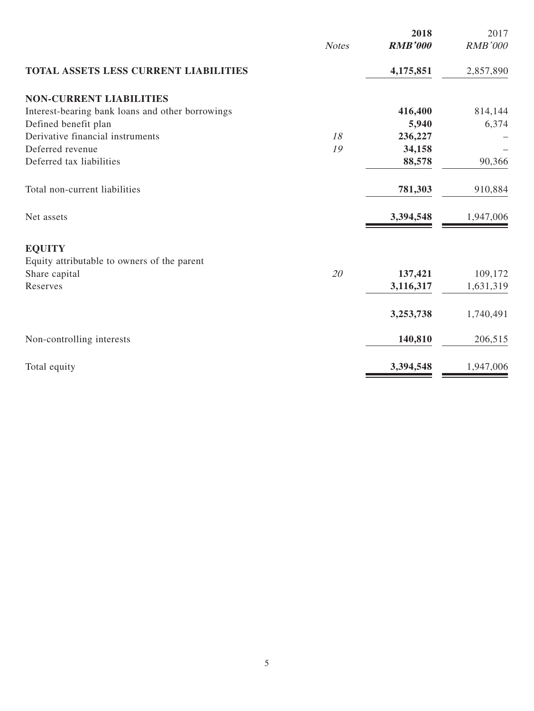|                                                  |              | 2018           | 2017           |
|--------------------------------------------------|--------------|----------------|----------------|
|                                                  | <b>Notes</b> | <b>RMB'000</b> | <b>RMB'000</b> |
| TOTAL ASSETS LESS CURRENT LIABILITIES            |              | 4,175,851      | 2,857,890      |
| <b>NON-CURRENT LIABILITIES</b>                   |              |                |                |
| Interest-bearing bank loans and other borrowings |              | 416,400        | 814,144        |
| Defined benefit plan                             |              | 5,940          | 6,374          |
| Derivative financial instruments                 | 18           | 236,227        |                |
| Deferred revenue                                 | 19           | 34,158         |                |
| Deferred tax liabilities                         |              | 88,578         | 90,366         |
| Total non-current liabilities                    |              | 781,303        | 910,884        |
| Net assets                                       |              | 3,394,548      | 1,947,006      |
| <b>EQUITY</b>                                    |              |                |                |
| Equity attributable to owners of the parent      |              |                |                |
| Share capital                                    | 20           | 137,421        | 109,172        |
| Reserves                                         |              | 3,116,317      | 1,631,319      |
|                                                  |              | 3,253,738      | 1,740,491      |
| Non-controlling interests                        |              | 140,810        | 206,515        |
| Total equity                                     |              | 3,394,548      | 1,947,006      |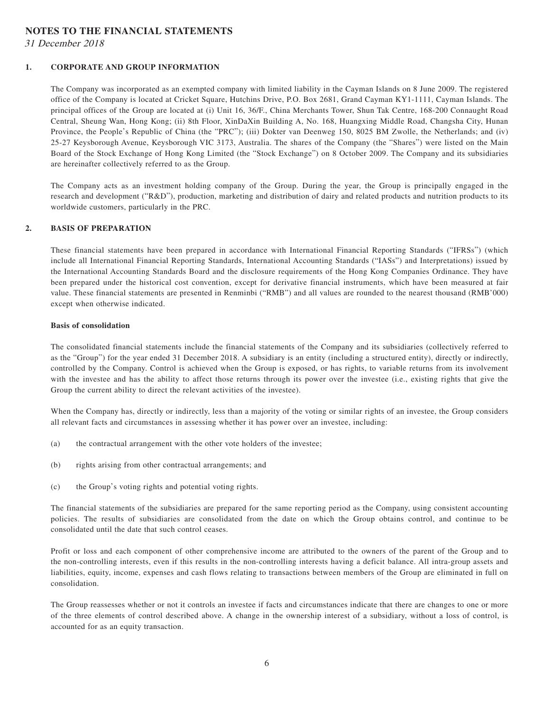### **NOTES TO THE FINANCIAL STATEMENTS**

31 December 2018

### **1. CORPORATE AND GROUP INFORMATION**

The Company was incorporated as an exempted company with limited liability in the Cayman Islands on 8 June 2009. The registered office of the Company is located at Cricket Square, Hutchins Drive, P.O. Box 2681, Grand Cayman KY1-1111, Cayman Islands. The principal offices of the Group are located at (i) Unit 16, 36/F., China Merchants Tower, Shun Tak Centre, 168-200 Connaught Road Central, Sheung Wan, Hong Kong; (ii) 8th Floor, XinDaXin Building A, No. 168, Huangxing Middle Road, Changsha City, Hunan Province, the People's Republic of China (the "PRC"); (iii) Dokter van Deenweg 150, 8025 BM Zwolle, the Netherlands; and (iv) 25-27 Keysborough Avenue, Keysborough VIC 3173, Australia. The shares of the Company (the "Shares") were listed on the Main Board of the Stock Exchange of Hong Kong Limited (the "Stock Exchange") on 8 October 2009. The Company and its subsidiaries are hereinafter collectively referred to as the Group.

The Company acts as an investment holding company of the Group. During the year, the Group is principally engaged in the research and development ("R&D"), production, marketing and distribution of dairy and related products and nutrition products to its worldwide customers, particularly in the PRC.

### **2. BASIS OF PREPARATION**

These financial statements have been prepared in accordance with International Financial Reporting Standards ("IFRSs") (which include all International Financial Reporting Standards, International Accounting Standards ("IASs") and Interpretations) issued by the International Accounting Standards Board and the disclosure requirements of the Hong Kong Companies Ordinance. They have been prepared under the historical cost convention, except for derivative financial instruments, which have been measured at fair value. These financial statements are presented in Renminbi ("RMB") and all values are rounded to the nearest thousand (RMB'000) except when otherwise indicated.

#### **Basis of consolidation**

The consolidated financial statements include the financial statements of the Company and its subsidiaries (collectively referred to as the "Group") for the year ended 31 December 2018. A subsidiary is an entity (including a structured entity), directly or indirectly, controlled by the Company. Control is achieved when the Group is exposed, or has rights, to variable returns from its involvement with the investee and has the ability to affect those returns through its power over the investee (i.e., existing rights that give the Group the current ability to direct the relevant activities of the investee).

When the Company has, directly or indirectly, less than a majority of the voting or similar rights of an investee, the Group considers all relevant facts and circumstances in assessing whether it has power over an investee, including:

- (a) the contractual arrangement with the other vote holders of the investee;
- (b) rights arising from other contractual arrangements; and
- (c) the Group's voting rights and potential voting rights.

The financial statements of the subsidiaries are prepared for the same reporting period as the Company, using consistent accounting policies. The results of subsidiaries are consolidated from the date on which the Group obtains control, and continue to be consolidated until the date that such control ceases.

Profit or loss and each component of other comprehensive income are attributed to the owners of the parent of the Group and to the non-controlling interests, even if this results in the non-controlling interests having a deficit balance. All intra-group assets and liabilities, equity, income, expenses and cash flows relating to transactions between members of the Group are eliminated in full on consolidation.

The Group reassesses whether or not it controls an investee if facts and circumstances indicate that there are changes to one or more of the three elements of control described above. A change in the ownership interest of a subsidiary, without a loss of control, is accounted for as an equity transaction.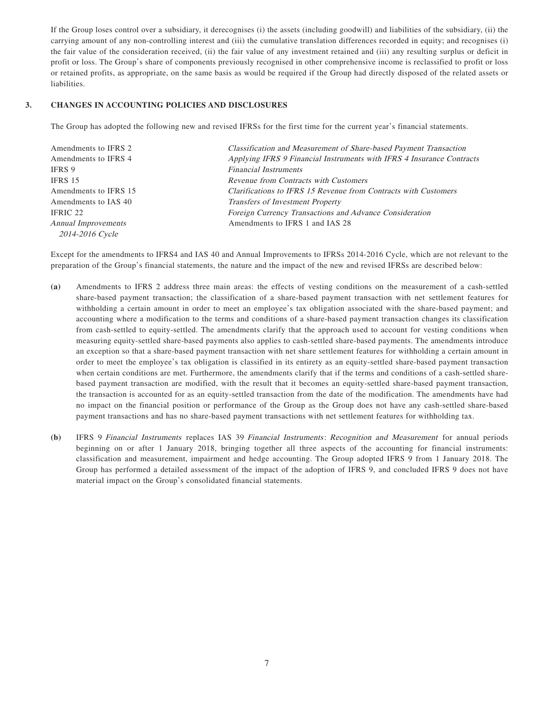If the Group loses control over a subsidiary, it derecognises (i) the assets (including goodwill) and liabilities of the subsidiary, (ii) the carrying amount of any non-controlling interest and (iii) the cumulative translation differences recorded in equity; and recognises (i) the fair value of the consideration received, (ii) the fair value of any investment retained and (iii) any resulting surplus or deficit in profit or loss. The Group's share of components previously recognised in other comprehensive income is reclassified to profit or loss or retained profits, as appropriate, on the same basis as would be required if the Group had directly disposed of the related assets or liabilities.

### **3. CHANGES IN ACCOUNTING POLICIES AND DISCLOSURES**

The Group has adopted the following new and revised IFRSs for the first time for the current year's financial statements.

| Amendments to IFRS 2  | Classification and Measurement of Share-based Payment Transaction     |
|-----------------------|-----------------------------------------------------------------------|
| Amendments to IFRS 4  | Applying IFRS 9 Financial Instruments with IFRS 4 Insurance Contracts |
| IFRS 9                | <b>Financial Instruments</b>                                          |
| IFRS 15               | Revenue from Contracts with Customers                                 |
| Amendments to IFRS 15 | Clarifications to IFRS 15 Revenue from Contracts with Customers       |
| Amendments to IAS 40  | Transfers of Investment Property                                      |
| IFRIC 22              | Foreign Currency Transactions and Advance Consideration               |
| Annual Improvements   | Amendments to IFRS 1 and IAS 28                                       |
| 2014-2016 Cycle       |                                                                       |

Except for the amendments to IFRS4 and IAS 40 and Annual Improvements to IFRSs 2014-2016 Cycle, which are not relevant to the preparation of the Group's financial statements, the nature and the impact of the new and revised IFRSs are described below:

- **(a)** Amendments to IFRS 2 address three main areas: the effects of vesting conditions on the measurement of a cash-settled share-based payment transaction; the classification of a share-based payment transaction with net settlement features for withholding a certain amount in order to meet an employee's tax obligation associated with the share-based payment; and accounting where a modification to the terms and conditions of a share-based payment transaction changes its classification from cash-settled to equity-settled. The amendments clarify that the approach used to account for vesting conditions when measuring equity-settled share-based payments also applies to cash-settled share-based payments. The amendments introduce an exception so that a share-based payment transaction with net share settlement features for withholding a certain amount in order to meet the employee's tax obligation is classified in its entirety as an equity-settled share-based payment transaction when certain conditions are met. Furthermore, the amendments clarify that if the terms and conditions of a cash-settled sharebased payment transaction are modified, with the result that it becomes an equity-settled share-based payment transaction, the transaction is accounted for as an equity-settled transaction from the date of the modification. The amendments have had no impact on the financial position or performance of the Group as the Group does not have any cash-settled share-based payment transactions and has no share-based payment transactions with net settlement features for withholding tax.
- **(b)** IFRS 9 Financial Instruments replaces IAS 39 Financial Instruments: Recognition and Measurement for annual periods beginning on or after 1 January 2018, bringing together all three aspects of the accounting for financial instruments: classification and measurement, impairment and hedge accounting. The Group adopted IFRS 9 from 1 January 2018. The Group has performed a detailed assessment of the impact of the adoption of IFRS 9, and concluded IFRS 9 does not have material impact on the Group's consolidated financial statements.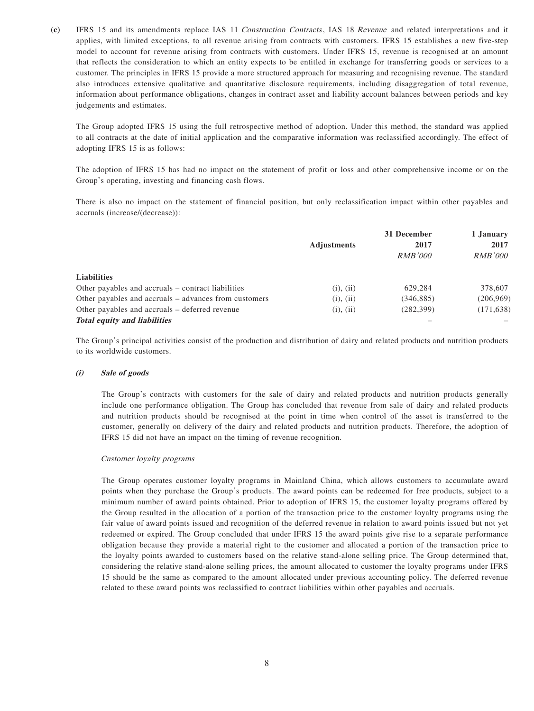**(c)** IFRS 15 and its amendments replace IAS 11 Construction Contracts, IAS 18 Revenue and related interpretations and it applies, with limited exceptions, to all revenue arising from contracts with customers. IFRS 15 establishes a new five-step model to account for revenue arising from contracts with customers. Under IFRS 15, revenue is recognised at an amount that reflects the consideration to which an entity expects to be entitled in exchange for transferring goods or services to a customer. The principles in IFRS 15 provide a more structured approach for measuring and recognising revenue. The standard also introduces extensive qualitative and quantitative disclosure requirements, including disaggregation of total revenue, information about performance obligations, changes in contract asset and liability account balances between periods and key judgements and estimates.

The Group adopted IFRS 15 using the full retrospective method of adoption. Under this method, the standard was applied to all contracts at the date of initial application and the comparative information was reclassified accordingly. The effect of adopting IFRS 15 is as follows:

The adoption of IFRS 15 has had no impact on the statement of profit or loss and other comprehensive income or on the Group's operating, investing and financing cash flows.

There is also no impact on the statement of financial position, but only reclassification impact within other payables and accruals (increase/(decrease)):

|                                                       | <b>Adjustments</b> | 31 December<br>2017<br><i>RMB'000</i> | 1 January<br>2017<br><i>RMB'000</i> |
|-------------------------------------------------------|--------------------|---------------------------------------|-------------------------------------|
|                                                       |                    |                                       |                                     |
|                                                       |                    |                                       |                                     |
| <b>Liabilities</b>                                    |                    |                                       |                                     |
| Other payables and accruals – contract liabilities    | (i), (ii)          | 629.284                               | 378,607                             |
| Other payables and accruals – advances from customers | (i), (ii)          | (346, 885)                            | (206,969)                           |
| Other payables and accruals – deferred revenue        | (i), (ii)          | (282, 399)                            | (171, 638)                          |
| <b>Total equity and liabilities</b>                   |                    |                                       |                                     |

The Group's principal activities consist of the production and distribution of dairy and related products and nutrition products to its worldwide customers.

#### **(i) Sale of goods**

The Group's contracts with customers for the sale of dairy and related products and nutrition products generally include one performance obligation. The Group has concluded that revenue from sale of dairy and related products and nutrition products should be recognised at the point in time when control of the asset is transferred to the customer, generally on delivery of the dairy and related products and nutrition products. Therefore, the adoption of IFRS 15 did not have an impact on the timing of revenue recognition.

#### Customer loyalty programs

The Group operates customer loyalty programs in Mainland China, which allows customers to accumulate award points when they purchase the Group's products. The award points can be redeemed for free products, subject to a minimum number of award points obtained. Prior to adoption of IFRS 15, the customer loyalty programs offered by the Group resulted in the allocation of a portion of the transaction price to the customer loyalty programs using the fair value of award points issued and recognition of the deferred revenue in relation to award points issued but not yet redeemed or expired. The Group concluded that under IFRS 15 the award points give rise to a separate performance obligation because they provide a material right to the customer and allocated a portion of the transaction price to the loyalty points awarded to customers based on the relative stand-alone selling price. The Group determined that, considering the relative stand-alone selling prices, the amount allocated to customer the loyalty programs under IFRS 15 should be the same as compared to the amount allocated under previous accounting policy. The deferred revenue related to these award points was reclassified to contract liabilities within other payables and accruals.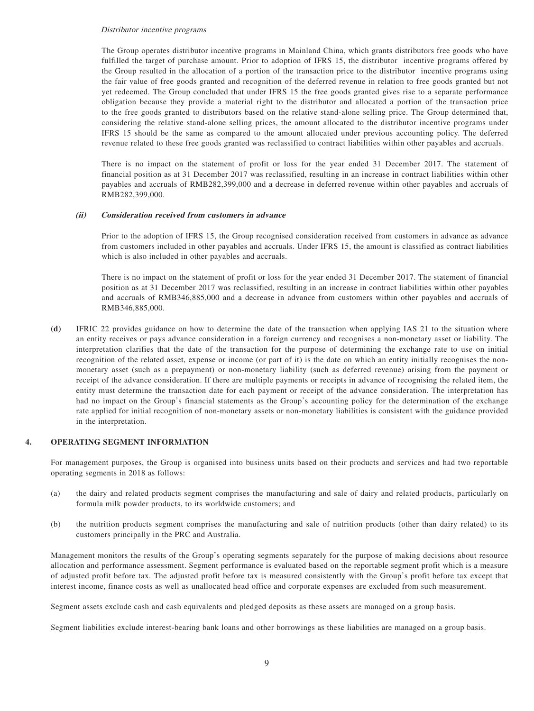#### Distributor incentive programs

The Group operates distributor incentive programs in Mainland China, which grants distributors free goods who have fulfilled the target of purchase amount. Prior to adoption of IFRS 15, the distributor incentive programs offered by the Group resulted in the allocation of a portion of the transaction price to the distributor incentive programs using the fair value of free goods granted and recognition of the deferred revenue in relation to free goods granted but not yet redeemed. The Group concluded that under IFRS 15 the free goods granted gives rise to a separate performance obligation because they provide a material right to the distributor and allocated a portion of the transaction price to the free goods granted to distributors based on the relative stand-alone selling price. The Group determined that, considering the relative stand-alone selling prices, the amount allocated to the distributor incentive programs under IFRS 15 should be the same as compared to the amount allocated under previous accounting policy. The deferred revenue related to these free goods granted was reclassified to contract liabilities within other payables and accruals.

There is no impact on the statement of profit or loss for the year ended 31 December 2017. The statement of financial position as at 31 December 2017 was reclassified, resulting in an increase in contract liabilities within other payables and accruals of RMB282,399,000 and a decrease in deferred revenue within other payables and accruals of RMB282,399,000.

#### **(ii) Consideration received from customers in advance**

Prior to the adoption of IFRS 15, the Group recognised consideration received from customers in advance as advance from customers included in other payables and accruals. Under IFRS 15, the amount is classified as contract liabilities which is also included in other payables and accruals.

There is no impact on the statement of profit or loss for the year ended 31 December 2017. The statement of financial position as at 31 December 2017 was reclassified, resulting in an increase in contract liabilities within other payables and accruals of RMB346,885,000 and a decrease in advance from customers within other payables and accruals of RMB346,885,000.

**(d)** IFRIC 22 provides guidance on how to determine the date of the transaction when applying IAS 21 to the situation where an entity receives or pays advance consideration in a foreign currency and recognises a non-monetary asset or liability. The interpretation clarifies that the date of the transaction for the purpose of determining the exchange rate to use on initial recognition of the related asset, expense or income (or part of it) is the date on which an entity initially recognises the nonmonetary asset (such as a prepayment) or non-monetary liability (such as deferred revenue) arising from the payment or receipt of the advance consideration. If there are multiple payments or receipts in advance of recognising the related item, the entity must determine the transaction date for each payment or receipt of the advance consideration. The interpretation has had no impact on the Group's financial statements as the Group's accounting policy for the determination of the exchange rate applied for initial recognition of non-monetary assets or non-monetary liabilities is consistent with the guidance provided in the interpretation.

#### **4. OPERATING SEGMENT INFORMATION**

For management purposes, the Group is organised into business units based on their products and services and had two reportable operating segments in 2018 as follows:

- (a) the dairy and related products segment comprises the manufacturing and sale of dairy and related products, particularly on formula milk powder products, to its worldwide customers; and
- (b) the nutrition products segment comprises the manufacturing and sale of nutrition products (other than dairy related) to its customers principally in the PRC and Australia.

Management monitors the results of the Group's operating segments separately for the purpose of making decisions about resource allocation and performance assessment. Segment performance is evaluated based on the reportable segment profit which is a measure of adjusted profit before tax. The adjusted profit before tax is measured consistently with the Group's profit before tax except that interest income, finance costs as well as unallocated head office and corporate expenses are excluded from such measurement.

Segment assets exclude cash and cash equivalents and pledged deposits as these assets are managed on a group basis.

Segment liabilities exclude interest-bearing bank loans and other borrowings as these liabilities are managed on a group basis.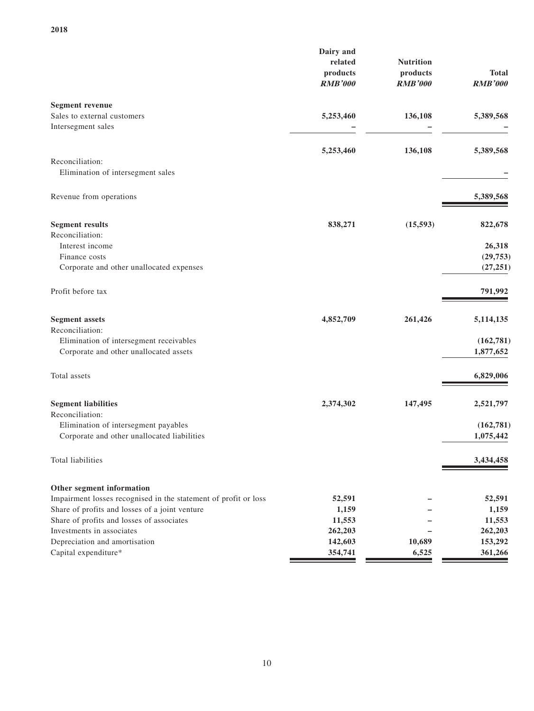|                                                                                                                                                                                                                                                                                   | Dairy and<br>related<br>products<br><b>RMB'000</b>         | <b>Nutrition</b><br>products<br><b>RMB'000</b> | Total<br><b>RMB'000</b>                                    |
|-----------------------------------------------------------------------------------------------------------------------------------------------------------------------------------------------------------------------------------------------------------------------------------|------------------------------------------------------------|------------------------------------------------|------------------------------------------------------------|
| <b>Segment revenue</b><br>Sales to external customers<br>Intersegment sales                                                                                                                                                                                                       | 5,253,460                                                  | 136,108                                        | 5,389,568                                                  |
| Reconciliation:<br>Elimination of intersegment sales                                                                                                                                                                                                                              | 5,253,460                                                  | 136,108                                        | 5,389,568                                                  |
| Revenue from operations                                                                                                                                                                                                                                                           |                                                            |                                                | 5,389,568                                                  |
| <b>Segment results</b><br>Reconciliation:<br>Interest income<br>Finance costs<br>Corporate and other unallocated expenses                                                                                                                                                         | 838,271                                                    | (15, 593)                                      | 822,678<br>26,318<br>(29, 753)<br>(27, 251)                |
| Profit before tax                                                                                                                                                                                                                                                                 |                                                            |                                                | 791,992                                                    |
| <b>Segment assets</b><br>Reconciliation:<br>Elimination of intersegment receivables<br>Corporate and other unallocated assets                                                                                                                                                     | 4,852,709                                                  | 261,426                                        | 5,114,135<br>(162, 781)<br>1,877,652                       |
| Total assets                                                                                                                                                                                                                                                                      |                                                            |                                                | 6,829,006                                                  |
| <b>Segment liabilities</b><br>Reconciliation:<br>Elimination of intersegment payables<br>Corporate and other unallocated liabilities<br><b>Total liabilities</b>                                                                                                                  | 2,374,302                                                  | 147,495                                        | 2,521,797<br>(162, 781)<br>1,075,442<br>3,434,458          |
|                                                                                                                                                                                                                                                                                   |                                                            |                                                |                                                            |
| Other segment information<br>Impairment losses recognised in the statement of profit or loss<br>Share of profits and losses of a joint venture<br>Share of profits and losses of associates<br>Investments in associates<br>Depreciation and amortisation<br>Capital expenditure* | 52,591<br>1,159<br>11,553<br>262,203<br>142,603<br>354,741 | 10,689<br>6,525                                | 52,591<br>1,159<br>11,553<br>262,203<br>153,292<br>361,266 |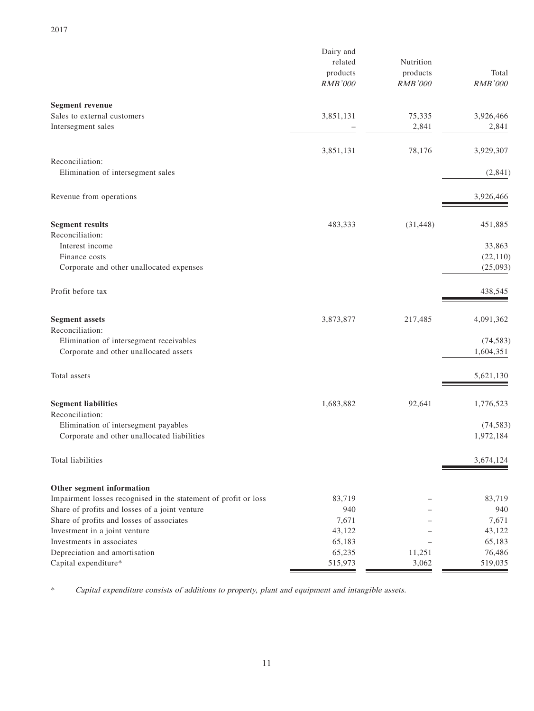|                                                                 | Dairy and<br>related<br>products<br><b>RMB'000</b> | Nutrition<br>products<br><b>RMB'000</b> | Total<br><b>RMB'000</b> |
|-----------------------------------------------------------------|----------------------------------------------------|-----------------------------------------|-------------------------|
| <b>Segment revenue</b>                                          |                                                    |                                         |                         |
| Sales to external customers<br>Intersegment sales               | 3,851,131                                          | 75,335<br>2,841                         | 3,926,466<br>2,841      |
|                                                                 | 3,851,131                                          | 78,176                                  | 3,929,307               |
| Reconciliation:<br>Elimination of intersegment sales            |                                                    |                                         | (2,841)                 |
| Revenue from operations                                         |                                                    |                                         | 3,926,466               |
| <b>Segment results</b>                                          | 483,333                                            | (31, 448)                               | 451,885                 |
| Reconciliation:                                                 |                                                    |                                         |                         |
| Interest income                                                 |                                                    |                                         | 33,863                  |
| Finance costs<br>Corporate and other unallocated expenses       |                                                    |                                         | (22, 110)<br>(25,093)   |
|                                                                 |                                                    |                                         |                         |
| Profit before tax                                               |                                                    |                                         | 438,545                 |
| <b>Segment assets</b>                                           | 3,873,877                                          | 217,485                                 | 4,091,362               |
| Reconciliation:                                                 |                                                    |                                         |                         |
| Elimination of intersegment receivables                         |                                                    |                                         | (74, 583)               |
| Corporate and other unallocated assets                          |                                                    |                                         | 1,604,351               |
| Total assets                                                    |                                                    |                                         | 5,621,130               |
| <b>Segment liabilities</b>                                      | 1,683,882                                          | 92,641                                  | 1,776,523               |
| Reconciliation:                                                 |                                                    |                                         |                         |
| Elimination of intersegment payables                            |                                                    |                                         | (74, 583)               |
| Corporate and other unallocated liabilities                     |                                                    |                                         | 1,972,184               |
| Total liabilities                                               |                                                    |                                         | 3,674,124               |
| Other segment information                                       |                                                    |                                         |                         |
| Impairment losses recognised in the statement of profit or loss | 83,719                                             |                                         | 83,719                  |
| Share of profits and losses of a joint venture                  | 940                                                |                                         | 940                     |
| Share of profits and losses of associates                       | 7,671                                              |                                         | 7,671                   |
| Investment in a joint venture                                   | 43,122                                             |                                         | 43,122                  |
| Investments in associates                                       | 65,183                                             |                                         | 65,183                  |
| Depreciation and amortisation                                   | 65,235                                             | 11,251                                  | 76,486                  |
| Capital expenditure*                                            | 515,973                                            | 3,062                                   | 519,035                 |

\* Capital expenditure consists of additions to property, plant and equipment and intangible assets.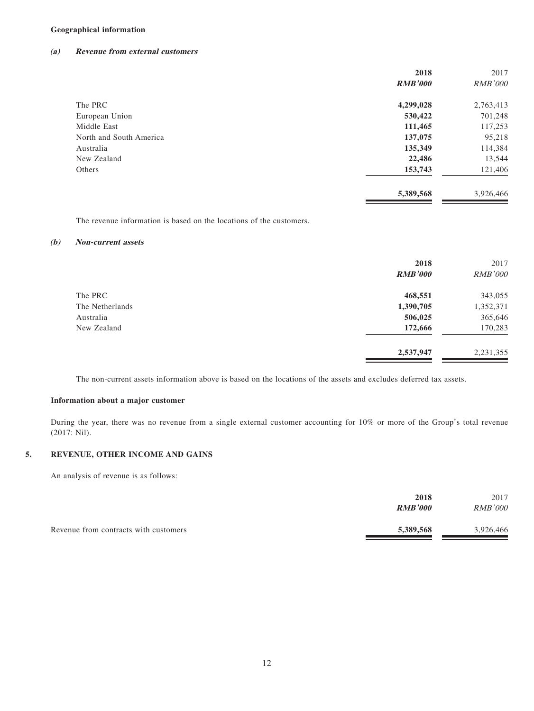### **Geographical information**

#### **(a) Revenue from external customers**

|                         | 2018           | 2017           |
|-------------------------|----------------|----------------|
|                         | <b>RMB'000</b> | <b>RMB'000</b> |
| The PRC                 | 4,299,028      | 2,763,413      |
| European Union          | 530,422        | 701,248        |
| Middle East             | 111,465        | 117,253        |
| North and South America | 137,075        | 95,218         |
| Australia               | 135,349        | 114,384        |
| New Zealand             | 22,486         | 13,544         |
| Others                  | 153,743        | 121,406        |
|                         | 5,389,568      | 3,926,466      |

The revenue information is based on the locations of the customers.

### **(b) Non-current assets**

|                 | 2018<br><b>RMB'000</b> | 2017<br><b>RMB'000</b> |
|-----------------|------------------------|------------------------|
| The PRC         | 468,551                | 343,055                |
| The Netherlands | 1,390,705              | 1,352,371              |
| Australia       | 506,025                | 365,646                |
| New Zealand     | 172,666                | 170,283                |
|                 | 2,537,947              | 2,231,355              |

The non-current assets information above is based on the locations of the assets and excludes deferred tax assets.

#### **Information about a major customer**

During the year, there was no revenue from a single external customer accounting for 10% or more of the Group's total revenue (2017: Nil).

### **5. REVENUE, OTHER INCOME AND GAINS**

An analysis of revenue is as follows:

|                                       | 2018           | 2017           |
|---------------------------------------|----------------|----------------|
|                                       | <b>RMB'000</b> | <i>RMB'000</i> |
|                                       |                |                |
| Revenue from contracts with customers | 5,389,568      | 3,926,466      |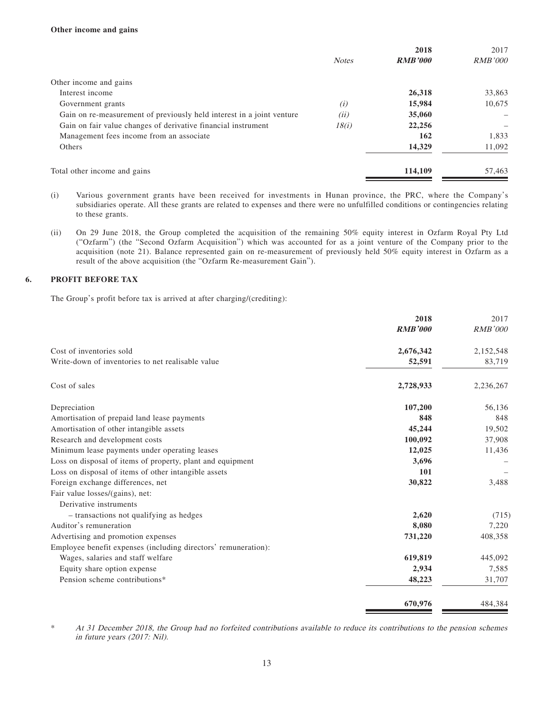|                                                                       |              | 2018           | 2017           |
|-----------------------------------------------------------------------|--------------|----------------|----------------|
|                                                                       | <b>Notes</b> | <b>RMB'000</b> | <i>RMB'000</i> |
| Other income and gains                                                |              |                |                |
| Interest income                                                       |              | 26,318         | 33,863         |
| Government grants                                                     | (i)          | 15,984         | 10.675         |
| Gain on re-measurement of previously held interest in a joint venture | (ii)         | 35,060         |                |
| Gain on fair value changes of derivative financial instrument         | 18(i)        | 22,256         |                |
| Management fees income from an associate                              |              | 162            | 1,833          |
| <b>Others</b>                                                         |              | 14,329         | 11,092         |
| Total other income and gains                                          |              | 114,109        | 57,463         |

(i) Various government grants have been received for investments in Hunan province, the PRC, where the Company's subsidiaries operate. All these grants are related to expenses and there were no unfulfilled conditions or contingencies relating to these grants.

(ii) On 29 June 2018, the Group completed the acquisition of the remaining 50% equity interest in Ozfarm Royal Pty Ltd ("Ozfarm") (the "Second Ozfarm Acquisition") which was accounted for as a joint venture of the Company prior to the acquisition (note 21). Balance represented gain on re-measurement of previously held 50% equity interest in Ozfarm as a result of the above acquisition (the "Ozfarm Re-measurement Gain").

### **6. PROFIT BEFORE TAX**

The Group's profit before tax is arrived at after charging/(crediting):

|                                                                | 2018           | 2017           |
|----------------------------------------------------------------|----------------|----------------|
|                                                                | <b>RMB'000</b> | <b>RMB'000</b> |
| Cost of inventories sold                                       | 2,676,342      | 2,152,548      |
| Write-down of inventories to net realisable value              | 52,591         | 83,719         |
| Cost of sales                                                  | 2,728,933      | 2,236,267      |
| Depreciation                                                   | 107,200        | 56,136         |
| Amortisation of prepaid land lease payments                    | 848            | 848            |
| Amortisation of other intangible assets                        | 45,244         | 19,502         |
| Research and development costs                                 | 100,092        | 37,908         |
| Minimum lease payments under operating leases                  | 12,025         | 11,436         |
| Loss on disposal of items of property, plant and equipment     | 3,696          |                |
| Loss on disposal of items of other intangible assets           | 101            |                |
| Foreign exchange differences, net                              | 30,822         | 3,488          |
| Fair value losses/(gains), net:                                |                |                |
| Derivative instruments                                         |                |                |
| - transactions not qualifying as hedges                        | 2,620          | (715)          |
| Auditor's remuneration                                         | 8,080          | 7,220          |
| Advertising and promotion expenses                             | 731,220        | 408,358        |
| Employee benefit expenses (including directors' remuneration): |                |                |
| Wages, salaries and staff welfare                              | 619,819        | 445,092        |
| Equity share option expense                                    | 2,934          | 7,585          |
| Pension scheme contributions*                                  | 48,223         | 31,707         |
|                                                                | 670,976        | 484,384        |

\* At 31 December 2018, the Group had no forfeited contributions available to reduce its contributions to the pension schemes in future years (2017: Nil).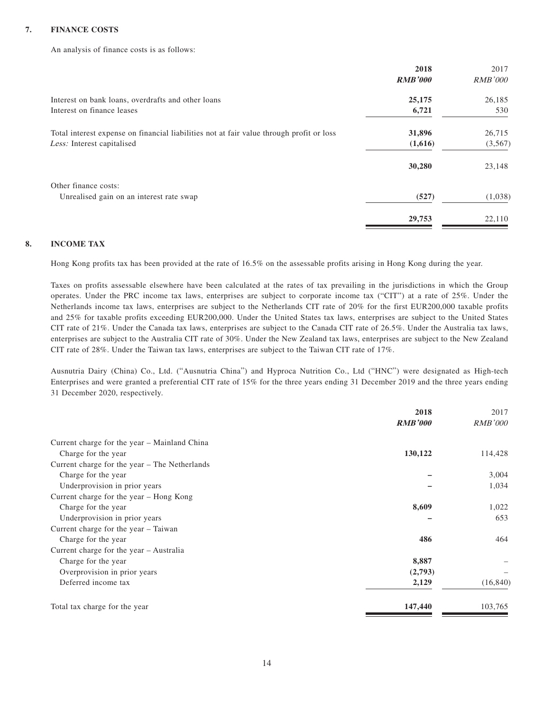### **7. FINANCE COSTS**

An analysis of finance costs is as follows:

|                                                                                          | 2018           | 2017           |
|------------------------------------------------------------------------------------------|----------------|----------------|
|                                                                                          | <b>RMB'000</b> | <i>RMB'000</i> |
| Interest on bank loans, overdrafts and other loans                                       | 25,175         | 26,185         |
| Interest on finance leases                                                               | 6,721          | 530            |
| Total interest expense on financial liabilities not at fair value through profit or loss | 31,896         | 26,715         |
| Less: Interest capitalised                                                               | (1,616)        | (3,567)        |
|                                                                                          | 30,280         | 23,148         |
| Other finance costs:                                                                     |                |                |
| Unrealised gain on an interest rate swap                                                 | (527)          | (1,038)        |
|                                                                                          | 29,753         | 22,110         |
|                                                                                          |                |                |

#### **8. INCOME TAX**

Hong Kong profits tax has been provided at the rate of 16.5% on the assessable profits arising in Hong Kong during the year.

Taxes on profits assessable elsewhere have been calculated at the rates of tax prevailing in the jurisdictions in which the Group operates. Under the PRC income tax laws, enterprises are subject to corporate income tax ("CIT") at a rate of 25%. Under the Netherlands income tax laws, enterprises are subject to the Netherlands CIT rate of 20% for the first EUR200,000 taxable profits and 25% for taxable profits exceeding EUR200,000. Under the United States tax laws, enterprises are subject to the United States CIT rate of 21%. Under the Canada tax laws, enterprises are subject to the Canada CIT rate of 26.5%. Under the Australia tax laws, enterprises are subject to the Australia CIT rate of 30%. Under the New Zealand tax laws, enterprises are subject to the New Zealand CIT rate of 28%. Under the Taiwan tax laws, enterprises are subject to the Taiwan CIT rate of 17%.

Ausnutria Dairy (China) Co., Ltd. ("Ausnutria China") and Hyproca Nutrition Co., Ltd ("HNC") were designated as High-tech Enterprises and were granted a preferential CIT rate of 15% for the three years ending 31 December 2019 and the three years ending 31 December 2020, respectively.

|                                               | 2018           | 2017           |
|-----------------------------------------------|----------------|----------------|
|                                               | <b>RMB'000</b> | <i>RMB'000</i> |
| Current charge for the year – Mainland China  |                |                |
| Charge for the year                           | 130,122        | 114,428        |
| Current charge for the year – The Netherlands |                |                |
| Charge for the year                           |                | 3,004          |
| Underprovision in prior years                 |                | 1,034          |
| Current charge for the year - Hong Kong       |                |                |
| Charge for the year                           | 8,609          | 1,022          |
| Underprovision in prior years                 |                | 653            |
| Current charge for the year – Taiwan          |                |                |
| Charge for the year                           | 486            | 464            |
| Current charge for the year - Australia       |                |                |
| Charge for the year                           | 8,887          |                |
| Overprovision in prior years                  | (2,793)        |                |
| Deferred income tax                           | 2,129          | (16, 840)      |
| Total tax charge for the year                 | 147,440        | 103,765        |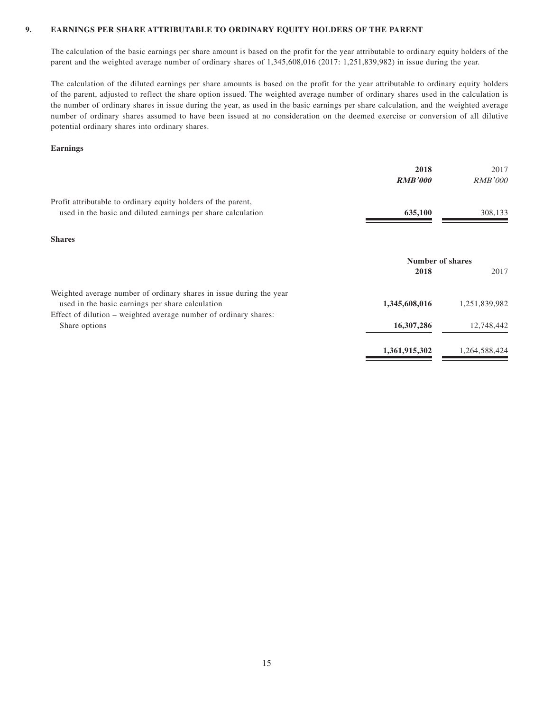### **9. EARNINGS PER SHARE ATTRIBUTABLE TO ORDINARY EQUITY HOLDERS OF THE PARENT**

The calculation of the basic earnings per share amount is based on the profit for the year attributable to ordinary equity holders of the parent and the weighted average number of ordinary shares of 1,345,608,016 (2017: 1,251,839,982) in issue during the year.

The calculation of the diluted earnings per share amounts is based on the profit for the year attributable to ordinary equity holders of the parent, adjusted to reflect the share option issued. The weighted average number of ordinary shares used in the calculation is the number of ordinary shares in issue during the year, as used in the basic earnings per share calculation, and the weighted average number of ordinary shares assumed to have been issued at no consideration on the deemed exercise or conversion of all dilutive potential ordinary shares into ordinary shares.

#### **Earnings**

|                                                                                                                               | 2018<br><b>RMB'000</b> | 2017<br><b>RMB'000</b> |
|-------------------------------------------------------------------------------------------------------------------------------|------------------------|------------------------|
| Profit attributable to ordinary equity holders of the parent,<br>used in the basic and diluted earnings per share calculation | 635,100                | 308,133                |
| <b>Shares</b>                                                                                                                 |                        |                        |
|                                                                                                                               | Number of shares       |                        |
|                                                                                                                               | 2018                   | 2017                   |
| Weighted average number of ordinary shares in issue during the year                                                           |                        |                        |
| used in the basic earnings per share calculation                                                                              | 1,345,608,016          | 1,251,839,982          |
| Effect of dilution – weighted average number of ordinary shares:                                                              |                        |                        |
| Share options                                                                                                                 | 16,307,286             | 12,748,442             |
|                                                                                                                               | 1,361,915,302          | 1,264,588,424          |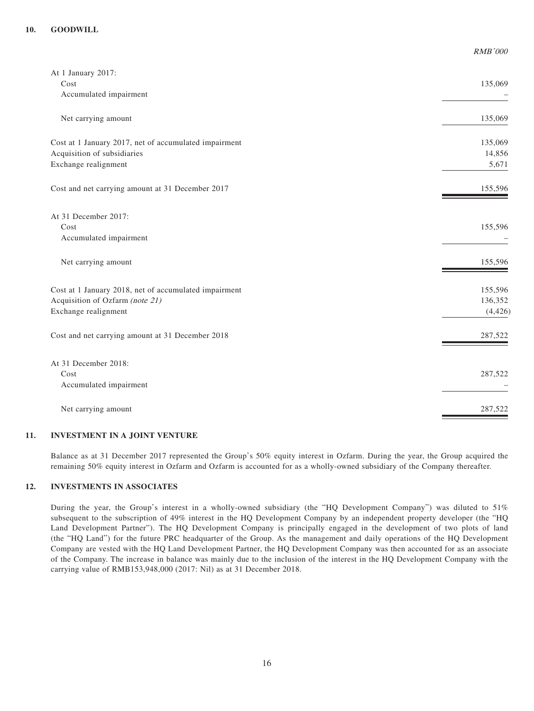| At 1 January 2017:                                    |          |
|-------------------------------------------------------|----------|
| Cost                                                  | 135,069  |
| Accumulated impairment                                |          |
| Net carrying amount                                   | 135,069  |
| Cost at 1 January 2017, net of accumulated impairment | 135,069  |
| Acquisition of subsidiaries                           | 14,856   |
| Exchange realignment                                  | 5,671    |
| Cost and net carrying amount at 31 December 2017      | 155,596  |
| At 31 December 2017:                                  |          |
| Cost                                                  | 155,596  |
| Accumulated impairment                                |          |
| Net carrying amount                                   | 155,596  |
| Cost at 1 January 2018, net of accumulated impairment | 155,596  |
| Acquisition of Ozfarm (note 21)                       | 136,352  |
| Exchange realignment                                  | (4, 426) |
| Cost and net carrying amount at 31 December 2018      | 287,522  |
| At 31 December 2018:                                  |          |
| Cost                                                  | 287,522  |
| Accumulated impairment                                |          |
| Net carrying amount                                   | 287,522  |
|                                                       |          |

RMB'000

#### **11. INVESTMENT IN A JOINT VENTURE**

Balance as at 31 December 2017 represented the Group's 50% equity interest in Ozfarm. During the year, the Group acquired the remaining 50% equity interest in Ozfarm and Ozfarm is accounted for as a wholly-owned subsidiary of the Company thereafter.

### **12. INVESTMENTS IN ASSOCIATES**

During the year, the Group's interest in a wholly-owned subsidiary (the "HQ Development Company") was diluted to 51% subsequent to the subscription of 49% interest in the HQ Development Company by an independent property developer (the "HQ Land Development Partner"). The HQ Development Company is principally engaged in the development of two plots of land (the "HQ Land") for the future PRC headquarter of the Group. As the management and daily operations of the HQ Development Company are vested with the HQ Land Development Partner, the HQ Development Company was then accounted for as an associate of the Company. The increase in balance was mainly due to the inclusion of the interest in the HQ Development Company with the carrying value of RMB153,948,000 (2017: Nil) as at 31 December 2018.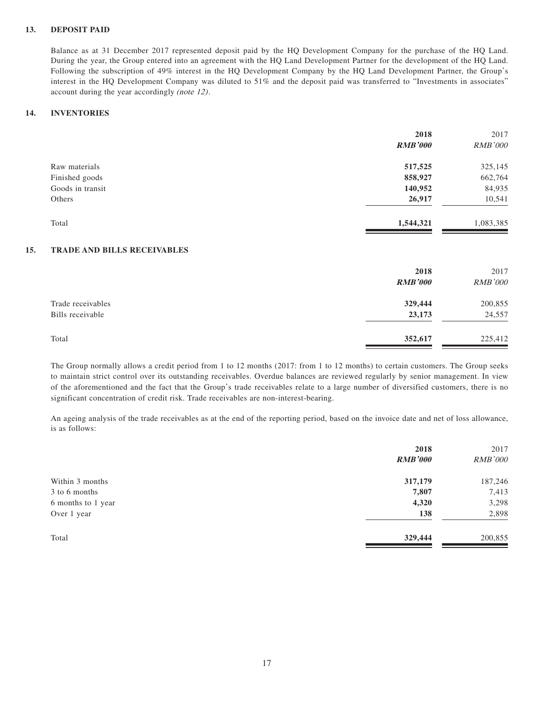### **13. DEPOSIT PAID**

Balance as at 31 December 2017 represented deposit paid by the HQ Development Company for the purchase of the HQ Land. During the year, the Group entered into an agreement with the HQ Land Development Partner for the development of the HQ Land. Following the subscription of 49% interest in the HQ Development Company by the HQ Land Development Partner, the Group's interest in the HQ Development Company was diluted to 51% and the deposit paid was transferred to "Investments in associates" account during the year accordingly (note 12).

### **14. INVENTORIES**

|                  | 2018           | 2017           |
|------------------|----------------|----------------|
|                  | <b>RMB'000</b> | <b>RMB'000</b> |
| Raw materials    | 517,525        | 325,145        |
| Finished goods   | 858,927        | 662,764        |
| Goods in transit | 140,952        | 84,935         |
| Others           | 26,917         | 10,541         |
| Total            | 1,544,321      | 1,083,385      |
|                  |                |                |

### **15. TRADE AND BILLS RECEIVABLES**

|                                       | 2018<br><b>RMB'000</b> | 2017<br><b>RMB'000</b> |
|---------------------------------------|------------------------|------------------------|
| Trade receivables<br>Bills receivable | 329,444<br>23,173      | 200,855<br>24,557      |
| Total                                 | 352,617                | 225,412                |

The Group normally allows a credit period from 1 to 12 months (2017: from 1 to 12 months) to certain customers. The Group seeks to maintain strict control over its outstanding receivables. Overdue balances are reviewed regularly by senior management. In view of the aforementioned and the fact that the Group's trade receivables relate to a large number of diversified customers, there is no significant concentration of credit risk. Trade receivables are non-interest-bearing.

An ageing analysis of the trade receivables as at the end of the reporting period, based on the invoice date and net of loss allowance, is as follows:

| 2018           | 2017           |
|----------------|----------------|
| <b>RMB'000</b> | <b>RMB'000</b> |
| 317,179        | 187,246        |
| 7,807          | 7,413          |
| 4,320          | 3,298          |
| 138            | 2,898          |
| 329,444        | 200,855        |
|                |                |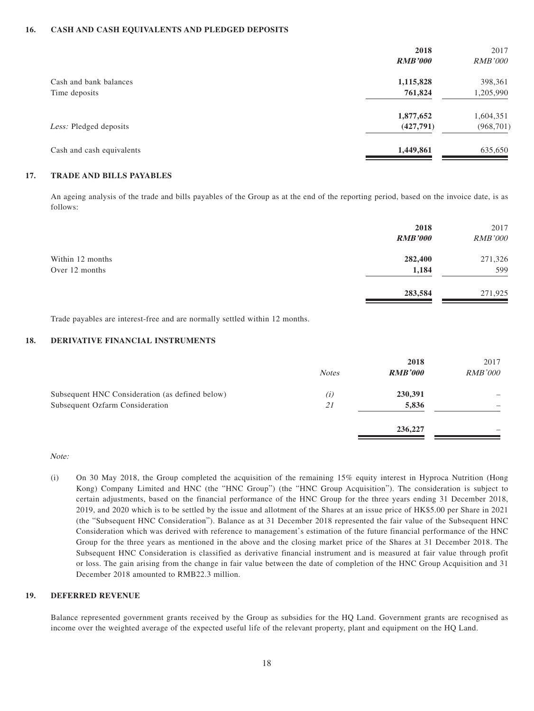#### **16. CASH AND CASH EQUIVALENTS AND PLEDGED DEPOSITS**

|                           | 2018           | 2017           |
|---------------------------|----------------|----------------|
|                           | <b>RMB'000</b> | <i>RMB'000</i> |
| Cash and bank balances    | 1,115,828      | 398,361        |
| Time deposits             | 761,824        | 1,205,990      |
|                           | 1,877,652      | 1,604,351      |
| Less: Pledged deposits    | (427,791)      | (968, 701)     |
| Cash and cash equivalents | 1,449,861      | 635,650        |

### **17. TRADE AND BILLS PAYABLES**

An ageing analysis of the trade and bills payables of the Group as at the end of the reporting period, based on the invoice date, is as follows:

|                  | 2018<br><b>RMB'000</b> | 2017<br><b>RMB'000</b> |
|------------------|------------------------|------------------------|
| Within 12 months | 282,400                | 271,326                |
| Over 12 months   | 1,184                  | 599                    |
|                  | 283,584                | 271,925                |

Trade payables are interest-free and are normally settled within 12 months.

### **18. DERIVATIVE FINANCIAL INSTRUMENTS**

|                                                 |              | 2018           | 2017           |
|-------------------------------------------------|--------------|----------------|----------------|
|                                                 | <b>Notes</b> | <b>RMB'000</b> | <i>RMB'000</i> |
| Subsequent HNC Consideration (as defined below) | (i)          | 230,391        |                |
| Subsequent Ozfarm Consideration                 | 21           | 5,836          |                |
|                                                 |              | 236,227        |                |
|                                                 |              |                |                |

Note:

(i) On 30 May 2018, the Group completed the acquisition of the remaining 15% equity interest in Hyproca Nutrition (Hong Kong) Company Limited and HNC (the "HNC Group") (the "HNC Group Acquisition"). The consideration is subject to certain adjustments, based on the financial performance of the HNC Group for the three years ending 31 December 2018, 2019, and 2020 which is to be settled by the issue and allotment of the Shares at an issue price of HK\$5.00 per Share in 2021 (the "Subsequent HNC Consideration"). Balance as at 31 December 2018 represented the fair value of the Subsequent HNC Consideration which was derived with reference to management's estimation of the future financial performance of the HNC Group for the three years as mentioned in the above and the closing market price of the Shares at 31 December 2018. The Subsequent HNC Consideration is classified as derivative financial instrument and is measured at fair value through profit or loss. The gain arising from the change in fair value between the date of completion of the HNC Group Acquisition and 31 December 2018 amounted to RMB22.3 million.

### **19. DEFERRED REVENUE**

Balance represented government grants received by the Group as subsidies for the HQ Land. Government grants are recognised as income over the weighted average of the expected useful life of the relevant property, plant and equipment on the HQ Land.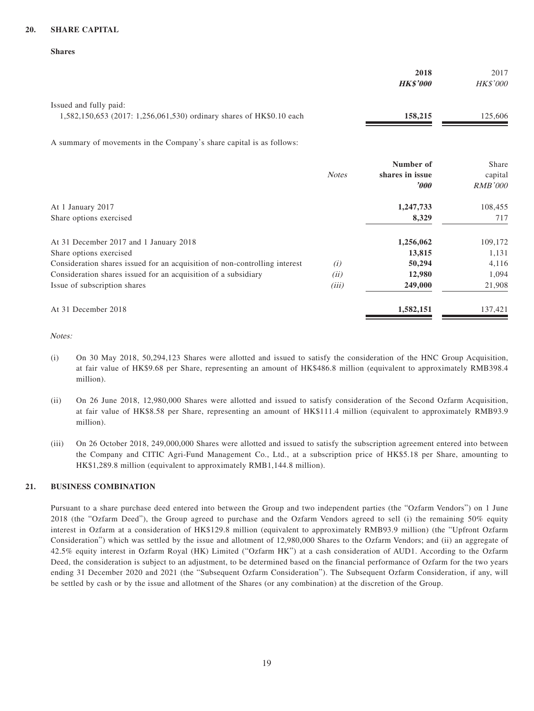### **20. SHARE CAPITAL**

#### **Shares**

|                                                                                                | 2018<br><b>HK\$'000</b> | 2017<br><b>HK\$'000</b> |
|------------------------------------------------------------------------------------------------|-------------------------|-------------------------|
| Issued and fully paid:<br>1,582,150,653 (2017: 1,256,061,530) ordinary shares of HK\$0.10 each | 158,215                 | 125.606                 |

A summary of movements in the Company's share capital is as follows:

|                                                                            |              | Number of        | Share          |
|----------------------------------------------------------------------------|--------------|------------------|----------------|
|                                                                            | <b>Notes</b> | shares in issue  | capital        |
|                                                                            |              | $\boldsymbol{v}$ | <b>RMB'000</b> |
| At 1 January 2017                                                          |              | 1,247,733        | 108,455        |
| Share options exercised                                                    |              | 8,329            | 717            |
| At 31 December 2017 and 1 January 2018                                     |              | 1,256,062        | 109,172        |
| Share options exercised                                                    |              | 13,815           | 1,131          |
| Consideration shares issued for an acquisition of non-controlling interest | (i)          | 50,294           | 4,116          |
| Consideration shares issued for an acquisition of a subsidiary             | (ii)         | 12,980           | 1,094          |
| Issue of subscription shares                                               | (iii)        | 249,000          | 21,908         |
| At 31 December 2018                                                        |              | 1,582,151        | 137,421        |
|                                                                            |              |                  |                |

Notes:

- (i) On 30 May 2018, 50,294,123 Shares were allotted and issued to satisfy the consideration of the HNC Group Acquisition, at fair value of HK\$9.68 per Share, representing an amount of HK\$486.8 million (equivalent to approximately RMB398.4 million).
- (ii) On 26 June 2018, 12,980,000 Shares were allotted and issued to satisfy consideration of the Second Ozfarm Acquisition, at fair value of HK\$8.58 per Share, representing an amount of HK\$111.4 million (equivalent to approximately RMB93.9 million).
- (iii) On 26 October 2018, 249,000,000 Shares were allotted and issued to satisfy the subscription agreement entered into between the Company and CITIC Agri-Fund Management Co., Ltd., at a subscription price of HK\$5.18 per Share, amounting to HK\$1,289.8 million (equivalent to approximately RMB1,144.8 million).

### **21. BUSINESS COMBINATION**

Pursuant to a share purchase deed entered into between the Group and two independent parties (the "Ozfarm Vendors") on 1 June 2018 (the "Ozfarm Deed"), the Group agreed to purchase and the Ozfarm Vendors agreed to sell (i) the remaining 50% equity interest in Ozfarm at a consideration of HK\$129.8 million (equivalent to approximately RMB93.9 million) (the "Upfront Ozfarm Consideration") which was settled by the issue and allotment of 12,980,000 Shares to the Ozfarm Vendors; and (ii) an aggregate of 42.5% equity interest in Ozfarm Royal (HK) Limited ("Ozfarm HK") at a cash consideration of AUD1. According to the Ozfarm Deed, the consideration is subject to an adjustment, to be determined based on the financial performance of Ozfarm for the two years ending 31 December 2020 and 2021 (the "Subsequent Ozfarm Consideration"). The Subsequent Ozfarm Consideration, if any, will be settled by cash or by the issue and allotment of the Shares (or any combination) at the discretion of the Group.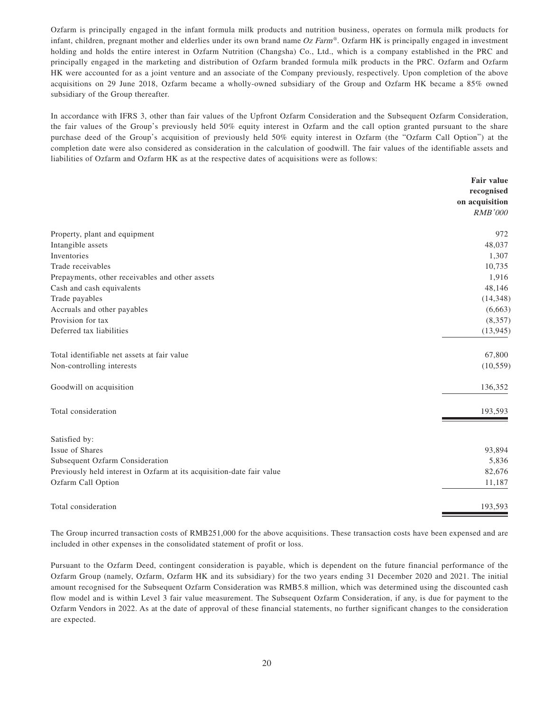Ozfarm is principally engaged in the infant formula milk products and nutrition business, operates on formula milk products for infant, children, pregnant mother and elderlies under its own brand name Oz Farm®. Ozfarm HK is principally engaged in investment holding and holds the entire interest in Ozfarm Nutrition (Changsha) Co., Ltd., which is a company established in the PRC and principally engaged in the marketing and distribution of Ozfarm branded formula milk products in the PRC. Ozfarm and Ozfarm HK were accounted for as a joint venture and an associate of the Company previously, respectively. Upon completion of the above acquisitions on 29 June 2018, Ozfarm became a wholly-owned subsidiary of the Group and Ozfarm HK became a 85% owned subsidiary of the Group thereafter.

In accordance with IFRS 3, other than fair values of the Upfront Ozfarm Consideration and the Subsequent Ozfarm Consideration, the fair values of the Group's previously held 50% equity interest in Ozfarm and the call option granted pursuant to the share purchase deed of the Group's acquisition of previously held 50% equity interest in Ozfarm (the "Ozfarm Call Option") at the completion date were also considered as consideration in the calculation of goodwill. The fair values of the identifiable assets and liabilities of Ozfarm and Ozfarm HK as at the respective dates of acquisitions were as follows:

|                                                                       | <b>Fair value</b> |
|-----------------------------------------------------------------------|-------------------|
|                                                                       | recognised        |
|                                                                       | on acquisition    |
|                                                                       | <b>RMB'000</b>    |
| Property, plant and equipment                                         | 972               |
| Intangible assets                                                     | 48,037            |
| Inventories                                                           | 1,307             |
| Trade receivables                                                     | 10,735            |
| Prepayments, other receivables and other assets                       | 1,916             |
| Cash and cash equivalents                                             | 48,146            |
| Trade payables                                                        | (14, 348)         |
| Accruals and other payables                                           | (6,663)           |
| Provision for tax                                                     | (8, 357)          |
| Deferred tax liabilities                                              | (13, 945)         |
| Total identifiable net assets at fair value                           | 67,800            |
| Non-controlling interests                                             | (10, 559)         |
| Goodwill on acquisition                                               | 136,352           |
| Total consideration                                                   | 193,593           |
| Satisfied by:                                                         |                   |
| Issue of Shares                                                       | 93,894            |
| Subsequent Ozfarm Consideration                                       | 5,836             |
| Previously held interest in Ozfarm at its acquisition-date fair value | 82,676            |
| Ozfarm Call Option                                                    | 11,187            |
| Total consideration                                                   | 193,593           |

The Group incurred transaction costs of RMB251,000 for the above acquisitions. These transaction costs have been expensed and are included in other expenses in the consolidated statement of profit or loss.

Pursuant to the Ozfarm Deed, contingent consideration is payable, which is dependent on the future financial performance of the Ozfarm Group (namely, Ozfarm, Ozfarm HK and its subsidiary) for the two years ending 31 December 2020 and 2021. The initial amount recognised for the Subsequent Ozfarm Consideration was RMB5.8 million, which was determined using the discounted cash flow model and is within Level 3 fair value measurement. The Subsequent Ozfarm Consideration, if any, is due for payment to the Ozfarm Vendors in 2022. As at the date of approval of these financial statements, no further significant changes to the consideration are expected.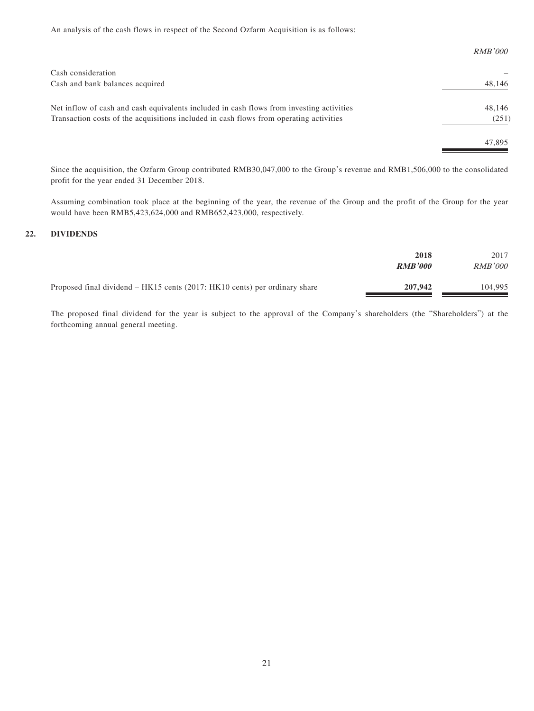An analysis of the cash flows in respect of the Second Ozfarm Acquisition is as follows:

|                                                                                          | <i>RMB'000</i> |
|------------------------------------------------------------------------------------------|----------------|
| Cash consideration                                                                       |                |
| Cash and bank balances acquired                                                          | 48,146         |
| Net inflow of cash and cash equivalents included in cash flows from investing activities | 48,146         |
| Transaction costs of the acquisitions included in cash flows from operating activities   | (251)          |
|                                                                                          | 47,895         |

Since the acquisition, the Ozfarm Group contributed RMB30,047,000 to the Group's revenue and RMB1,506,000 to the consolidated profit for the year ended 31 December 2018.

Assuming combination took place at the beginning of the year, the revenue of the Group and the profit of the Group for the year would have been RMB5,423,624,000 and RMB652,423,000, respectively.

### **22. DIVIDENDS**

|                                                                             | 2018<br><b>RMB'000</b> | 2017<br><i>RMB'000</i> |
|-----------------------------------------------------------------------------|------------------------|------------------------|
| Proposed final dividend $-HK15$ cents (2017: HK10 cents) per ordinary share | 207,942                | 104,995                |

The proposed final dividend for the year is subject to the approval of the Company's shareholders (the "Shareholders") at the forthcoming annual general meeting.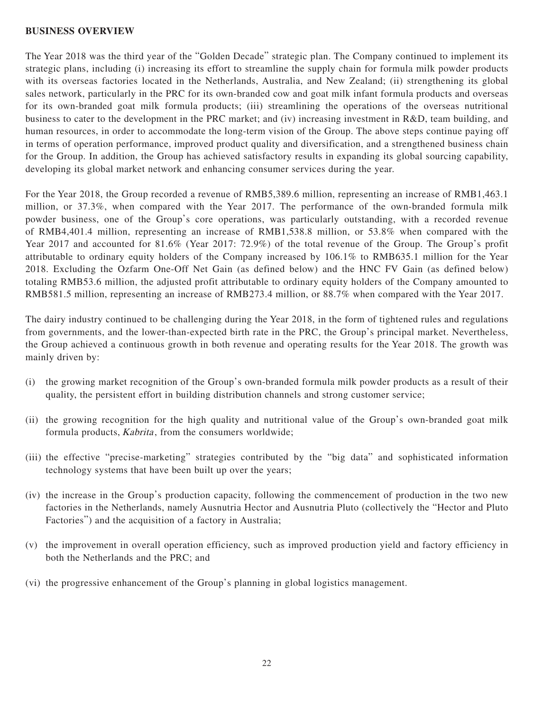### **BUSINESS OVERVIEW**

The Year 2018 was the third year of the "Golden Decade" strategic plan. The Company continued to implement its strategic plans, including (i) increasing its effort to streamline the supply chain for formula milk powder products with its overseas factories located in the Netherlands, Australia, and New Zealand; (ii) strengthening its global sales network, particularly in the PRC for its own-branded cow and goat milk infant formula products and overseas for its own-branded goat milk formula products; (iii) streamlining the operations of the overseas nutritional business to cater to the development in the PRC market; and (iv) increasing investment in R&D, team building, and human resources, in order to accommodate the long-term vision of the Group. The above steps continue paying off in terms of operation performance, improved product quality and diversification, and a strengthened business chain for the Group. In addition, the Group has achieved satisfactory results in expanding its global sourcing capability, developing its global market network and enhancing consumer services during the year.

For the Year 2018, the Group recorded a revenue of RMB5,389.6 million, representing an increase of RMB1,463.1 million, or 37.3%, when compared with the Year 2017. The performance of the own-branded formula milk powder business, one of the Group's core operations, was particularly outstanding, with a recorded revenue of RMB4,401.4 million, representing an increase of RMB1,538.8 million, or 53.8% when compared with the Year 2017 and accounted for 81.6% (Year 2017: 72.9%) of the total revenue of the Group. The Group's profit attributable to ordinary equity holders of the Company increased by 106.1% to RMB635.1 million for the Year 2018. Excluding the Ozfarm One-Off Net Gain (as defined below) and the HNC FV Gain (as defined below) totaling RMB53.6 million, the adjusted profit attributable to ordinary equity holders of the Company amounted to RMB581.5 million, representing an increase of RMB273.4 million, or 88.7% when compared with the Year 2017.

The dairy industry continued to be challenging during the Year 2018, in the form of tightened rules and regulations from governments, and the lower-than-expected birth rate in the PRC, the Group's principal market. Nevertheless, the Group achieved a continuous growth in both revenue and operating results for the Year 2018. The growth was mainly driven by:

- (i) the growing market recognition of the Group's own-branded formula milk powder products as a result of their quality, the persistent effort in building distribution channels and strong customer service;
- (ii) the growing recognition for the high quality and nutritional value of the Group's own-branded goat milk formula products, *Kabrita*, from the consumers worldwide;
- (iii) the effective "precise-marketing" strategies contributed by the "big data" and sophisticated information technology systems that have been built up over the years;
- (iv) the increase in the Group's production capacity, following the commencement of production in the two new factories in the Netherlands, namely Ausnutria Hector and Ausnutria Pluto (collectively the "Hector and Pluto Factories") and the acquisition of a factory in Australia;
- (v) the improvement in overall operation efficiency, such as improved production yield and factory efficiency in both the Netherlands and the PRC; and
- (vi) the progressive enhancement of the Group's planning in global logistics management.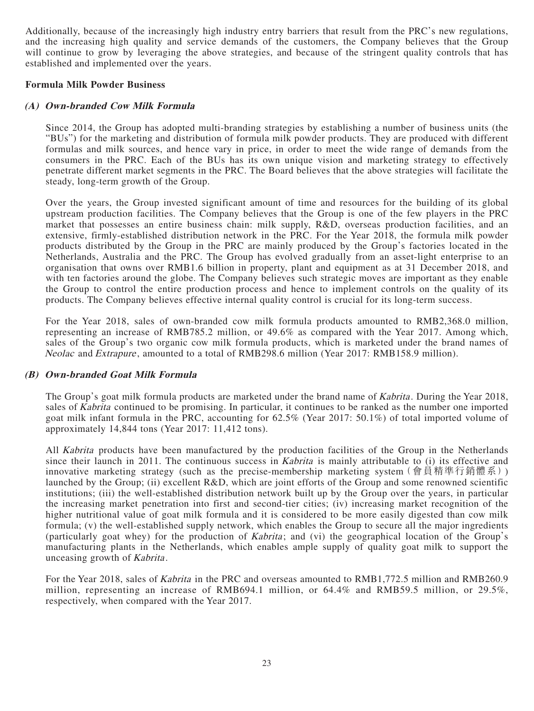Additionally, because of the increasingly high industry entry barriers that result from the PRC's new regulations, and the increasing high quality and service demands of the customers, the Company believes that the Group will continue to grow by leveraging the above strategies, and because of the stringent quality controls that has established and implemented over the years.

### **Formula Milk Powder Business**

# **(A) Own-branded Cow Milk Formula**

Since 2014, the Group has adopted multi-branding strategies by establishing a number of business units (the "BUs") for the marketing and distribution of formula milk powder products. They are produced with different formulas and milk sources, and hence vary in price, in order to meet the wide range of demands from the consumers in the PRC. Each of the BUs has its own unique vision and marketing strategy to effectively penetrate different market segments in the PRC. The Board believes that the above strategies will facilitate the steady, long-term growth of the Group.

Over the years, the Group invested significant amount of time and resources for the building of its global upstream production facilities. The Company believes that the Group is one of the few players in the PRC market that possesses an entire business chain: milk supply, R&D, overseas production facilities, and an extensive, firmly-established distribution network in the PRC. For the Year 2018, the formula milk powder products distributed by the Group in the PRC are mainly produced by the Group's factories located in the Netherlands, Australia and the PRC. The Group has evolved gradually from an asset-light enterprise to an organisation that owns over RMB1.6 billion in property, plant and equipment as at 31 December 2018, and with ten factories around the globe. The Company believes such strategic moves are important as they enable the Group to control the entire production process and hence to implement controls on the quality of its products. The Company believes effective internal quality control is crucial for its long-term success.

For the Year 2018, sales of own-branded cow milk formula products amounted to RMB2,368.0 million, representing an increase of RMB785.2 million, or 49.6% as compared with the Year 2017. Among which, sales of the Group's two organic cow milk formula products, which is marketed under the brand names of Neolac and Extrapure, amounted to a total of RMB298.6 million (Year 2017: RMB158.9 million).

# **(B) Own-branded Goat Milk Formula**

The Group's goat milk formula products are marketed under the brand name of *Kabrita*. During the Year 2018, sales of Kabrita continued to be promising. In particular, it continues to be ranked as the number one imported goat milk infant formula in the PRC, accounting for 62.5% (Year 2017: 50.1%) of total imported volume of approximately 14,844 tons (Year 2017: 11,412 tons).

All *Kabrita* products have been manufactured by the production facilities of the Group in the Netherlands since their launch in 2011. The continuous success in Kabrita is mainly attributable to (i) its effective and innovative marketing strategy (such as the precise-membership marketing system(會員精準行銷體系)) launched by the Group; (ii) excellent R&D, which are joint efforts of the Group and some renowned scientific institutions; (iii) the well-established distribution network built up by the Group over the years, in particular the increasing market penetration into first and second-tier cities; (iv) increasing market recognition of the higher nutritional value of goat milk formula and it is considered to be more easily digested than cow milk formula; (v) the well-established supply network, which enables the Group to secure all the major ingredients (particularly goat whey) for the production of *Kabrita*; and (vi) the geographical location of the Group's manufacturing plants in the Netherlands, which enables ample supply of quality goat milk to support the unceasing growth of Kabrita.

For the Year 2018, sales of Kabrita in the PRC and overseas amounted to RMB1,772.5 million and RMB260.9 million, representing an increase of RMB694.1 million, or 64.4% and RMB59.5 million, or 29.5%, respectively, when compared with the Year 2017.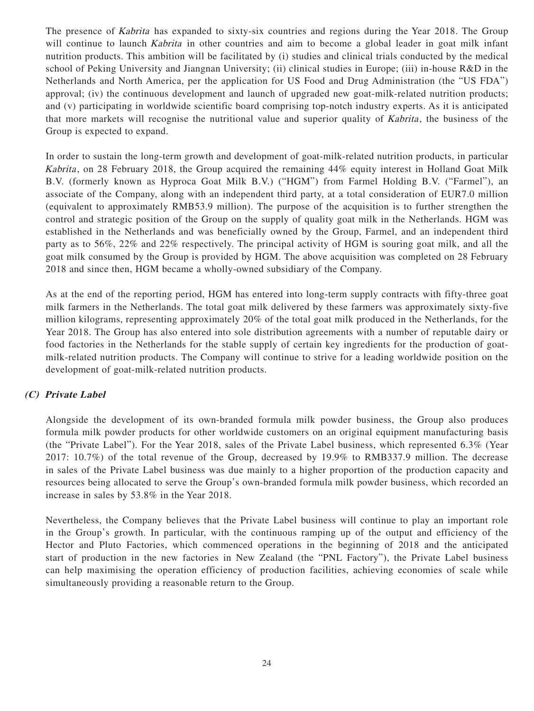The presence of Kabrita has expanded to sixty-six countries and regions during the Year 2018. The Group will continue to launch *Kabrita* in other countries and aim to become a global leader in goat milk infant nutrition products. This ambition will be facilitated by (i) studies and clinical trials conducted by the medical school of Peking University and Jiangnan University; (ii) clinical studies in Europe; (iii) in-house R&D in the Netherlands and North America, per the application for US Food and Drug Administration (the "US FDA") approval; (iv) the continuous development and launch of upgraded new goat-milk-related nutrition products; and (v) participating in worldwide scientific board comprising top-notch industry experts. As it is anticipated that more markets will recognise the nutritional value and superior quality of Kabrita, the business of the Group is expected to expand.

In order to sustain the long-term growth and development of goat-milk-related nutrition products, in particular Kabrita, on 28 February 2018, the Group acquired the remaining 44% equity interest in Holland Goat Milk B.V. (formerly known as Hyproca Goat Milk B.V.) ("HGM") from Farmel Holding B.V. ("Farmel"), an associate of the Company, along with an independent third party, at a total consideration of EUR7.0 million (equivalent to approximately RMB53.9 million). The purpose of the acquisition is to further strengthen the control and strategic position of the Group on the supply of quality goat milk in the Netherlands. HGM was established in the Netherlands and was beneficially owned by the Group, Farmel, and an independent third party as to 56%, 22% and 22% respectively. The principal activity of HGM is souring goat milk, and all the goat milk consumed by the Group is provided by HGM. The above acquisition was completed on 28 February 2018 and since then, HGM became a wholly-owned subsidiary of the Company.

As at the end of the reporting period, HGM has entered into long-term supply contracts with fifty-three goat milk farmers in the Netherlands. The total goat milk delivered by these farmers was approximately sixty-five million kilograms, representing approximately 20% of the total goat milk produced in the Netherlands, for the Year 2018. The Group has also entered into sole distribution agreements with a number of reputable dairy or food factories in the Netherlands for the stable supply of certain key ingredients for the production of goatmilk-related nutrition products. The Company will continue to strive for a leading worldwide position on the development of goat-milk-related nutrition products.

# **(C) Private Label**

Alongside the development of its own-branded formula milk powder business, the Group also produces formula milk powder products for other worldwide customers on an original equipment manufacturing basis (the "Private Label"). For the Year 2018, sales of the Private Label business, which represented 6.3% (Year 2017: 10.7%) of the total revenue of the Group, decreased by 19.9% to RMB337.9 million. The decrease in sales of the Private Label business was due mainly to a higher proportion of the production capacity and resources being allocated to serve the Group's own-branded formula milk powder business, which recorded an increase in sales by 53.8% in the Year 2018.

Nevertheless, the Company believes that the Private Label business will continue to play an important role in the Group's growth. In particular, with the continuous ramping up of the output and efficiency of the Hector and Pluto Factories, which commenced operations in the beginning of 2018 and the anticipated start of production in the new factories in New Zealand (the "PNL Factory"), the Private Label business can help maximising the operation efficiency of production facilities, achieving economies of scale while simultaneously providing a reasonable return to the Group.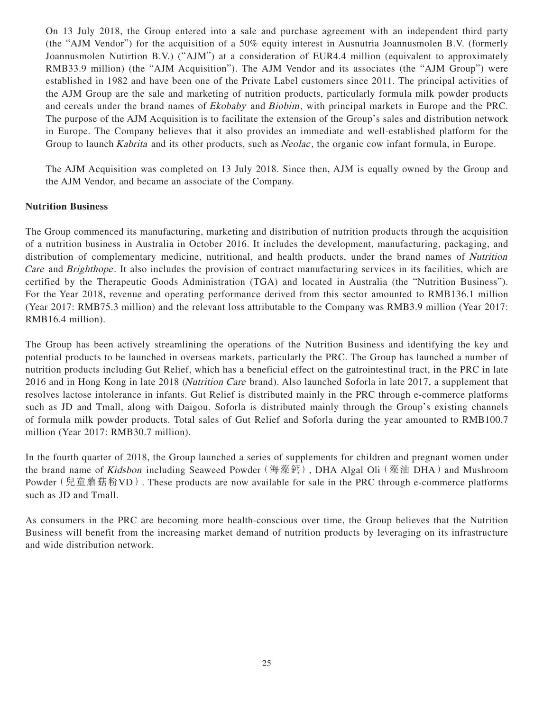On 13 July 2018, the Group entered into a sale and purchase agreement with an independent third party (the "AJM Vendor") for the acquisition of a 50% equity interest in Ausnutria Joannusmolen B.V. (formerly Joannusmolen Nutirtion B.V.) ("AJM") at a consideration of EUR4.4 million (equivalent to approximately RMB33.9 million) (the "AJM Acquisition"). The AJM Vendor and its associates (the "AJM Group") were established in 1982 and have been one of the Private Label customers since 2011. The principal activities of the AJM Group are the sale and marketing of nutrition products, particularly formula milk powder products and cereals under the brand names of Ekobaby and Biobim, with principal markets in Europe and the PRC. The purpose of the AJM Acquisition is to facilitate the extension of the Group's sales and distribution network in Europe. The Company believes that it also provides an immediate and well-established platform for the Group to launch *Kabrita* and its other products, such as *Neolac*, the organic cow infant formula, in Europe.

The AJM Acquisition was completed on 13 July 2018. Since then, AJM is equally owned by the Group and the AJM Vendor, and became an associate of the Company.

# **Nutrition Business**

The Group commenced its manufacturing, marketing and distribution of nutrition products through the acquisition of a nutrition business in Australia in October 2016. It includes the development, manufacturing, packaging, and distribution of complementary medicine, nutritional, and health products, under the brand names of Nutrition Care and Brighthope. It also includes the provision of contract manufacturing services in its facilities, which are certified by the Therapeutic Goods Administration (TGA) and located in Australia (the "Nutrition Business"). For the Year 2018, revenue and operating performance derived from this sector amounted to RMB136.1 million (Year 2017: RMB75.3 million) and the relevant loss attributable to the Company was RMB3.9 million (Year 2017: RMB16.4 million).

The Group has been actively streamlining the operations of the Nutrition Business and identifying the key and potential products to be launched in overseas markets, particularly the PRC. The Group has launched a number of nutrition products including Gut Relief, which has a beneficial effect on the gatrointestinal tract, in the PRC in late 2016 and in Hong Kong in late 2018 (Nutrition Care brand). Also launched Soforla in late 2017, a supplement that resolves lactose intolerance in infants. Gut Relief is distributed mainly in the PRC through e-commerce platforms such as JD and Tmall, along with Daigou. Soforla is distributed mainly through the Group's existing channels of formula milk powder products. Total sales of Gut Relief and Soforla during the year amounted to RMB100.7 million (Year 2017: RMB30.7 million).

In the fourth quarter of 2018, the Group launched a series of supplements for children and pregnant women under the brand name of *Kidsbon* including Seaweed Powder (海藻鈣), DHA Algal Oli (藻油 DHA) and Mushroom Powder (兒童蘑菇粉VD). These products are now available for sale in the PRC through e-commerce platforms such as JD and Tmall.

As consumers in the PRC are becoming more health-conscious over time, the Group believes that the Nutrition Business will benefit from the increasing market demand of nutrition products by leveraging on its infrastructure and wide distribution network.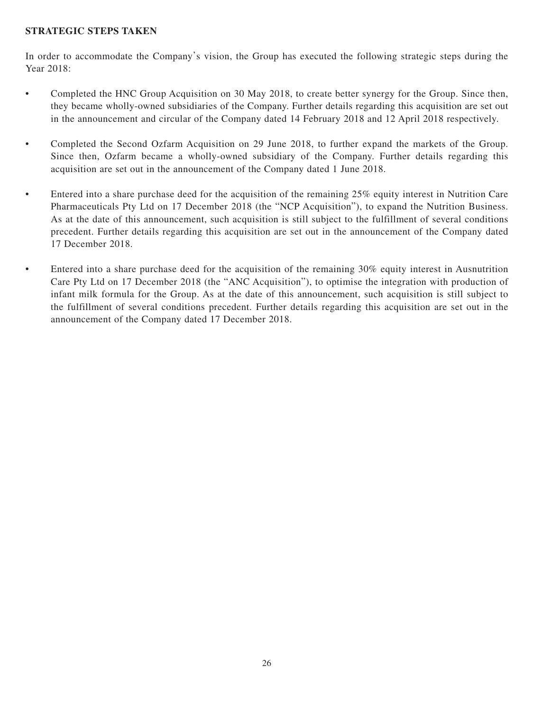# **STRATEGIC STEPS TAKEN**

In order to accommodate the Company's vision, the Group has executed the following strategic steps during the Year 2018:

- Completed the HNC Group Acquisition on 30 May 2018, to create better synergy for the Group. Since then, they became wholly-owned subsidiaries of the Company. Further details regarding this acquisition are set out in the announcement and circular of the Company dated 14 February 2018 and 12 April 2018 respectively.
- Completed the Second Ozfarm Acquisition on 29 June 2018, to further expand the markets of the Group. Since then, Ozfarm became a wholly-owned subsidiary of the Company. Further details regarding this acquisition are set out in the announcement of the Company dated 1 June 2018.
- Entered into a share purchase deed for the acquisition of the remaining 25% equity interest in Nutrition Care Pharmaceuticals Pty Ltd on 17 December 2018 (the "NCP Acquisition"), to expand the Nutrition Business. As at the date of this announcement, such acquisition is still subject to the fulfillment of several conditions precedent. Further details regarding this acquisition are set out in the announcement of the Company dated 17 December 2018.
- Entered into a share purchase deed for the acquisition of the remaining 30% equity interest in Ausnutrition Care Pty Ltd on 17 December 2018 (the "ANC Acquisition"), to optimise the integration with production of infant milk formula for the Group. As at the date of this announcement, such acquisition is still subject to the fulfillment of several conditions precedent. Further details regarding this acquisition are set out in the announcement of the Company dated 17 December 2018.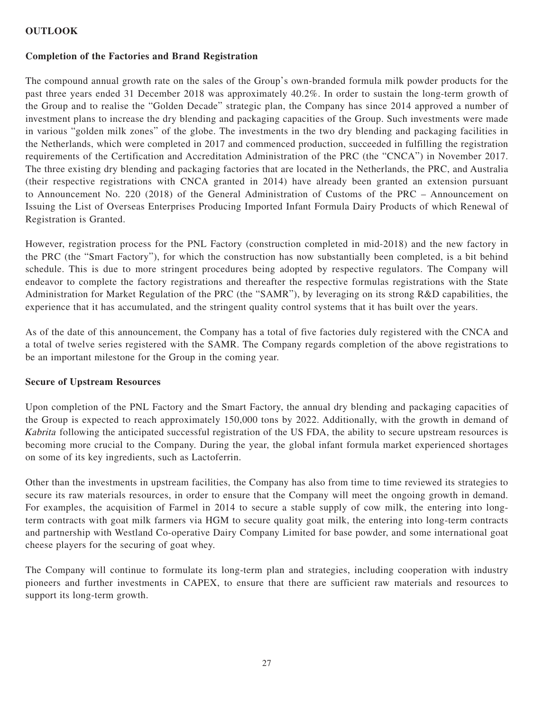# **OUTLOOK**

### **Completion of the Factories and Brand Registration**

The compound annual growth rate on the sales of the Group's own-branded formula milk powder products for the past three years ended 31 December 2018 was approximately 40.2%. In order to sustain the long-term growth of the Group and to realise the "Golden Decade" strategic plan, the Company has since 2014 approved a number of investment plans to increase the dry blending and packaging capacities of the Group. Such investments were made in various "golden milk zones" of the globe. The investments in the two dry blending and packaging facilities in the Netherlands, which were completed in 2017 and commenced production, succeeded in fulfilling the registration requirements of the Certification and Accreditation Administration of the PRC (the "CNCA") in November 2017. The three existing dry blending and packaging factories that are located in the Netherlands, the PRC, and Australia (their respective registrations with CNCA granted in 2014) have already been granted an extension pursuant to Announcement No. 220 (2018) of the General Administration of Customs of the PRC – Announcement on Issuing the List of Overseas Enterprises Producing Imported Infant Formula Dairy Products of which Renewal of Registration is Granted.

However, registration process for the PNL Factory (construction completed in mid-2018) and the new factory in the PRC (the "Smart Factory"), for which the construction has now substantially been completed, is a bit behind schedule. This is due to more stringent procedures being adopted by respective regulators. The Company will endeavor to complete the factory registrations and thereafter the respective formulas registrations with the State Administration for Market Regulation of the PRC (the "SAMR"), by leveraging on its strong R&D capabilities, the experience that it has accumulated, and the stringent quality control systems that it has built over the years.

As of the date of this announcement, the Company has a total of five factories duly registered with the CNCA and a total of twelve series registered with the SAMR. The Company regards completion of the above registrations to be an important milestone for the Group in the coming year.

# **Secure of Upstream Resources**

Upon completion of the PNL Factory and the Smart Factory, the annual dry blending and packaging capacities of the Group is expected to reach approximately 150,000 tons by 2022. Additionally, with the growth in demand of Kabrita following the anticipated successful registration of the US FDA, the ability to secure upstream resources is becoming more crucial to the Company. During the year, the global infant formula market experienced shortages on some of its key ingredients, such as Lactoferrin.

Other than the investments in upstream facilities, the Company has also from time to time reviewed its strategies to secure its raw materials resources, in order to ensure that the Company will meet the ongoing growth in demand. For examples, the acquisition of Farmel in 2014 to secure a stable supply of cow milk, the entering into longterm contracts with goat milk farmers via HGM to secure quality goat milk, the entering into long-term contracts and partnership with Westland Co-operative Dairy Company Limited for base powder, and some international goat cheese players for the securing of goat whey.

The Company will continue to formulate its long-term plan and strategies, including cooperation with industry pioneers and further investments in CAPEX, to ensure that there are sufficient raw materials and resources to support its long-term growth.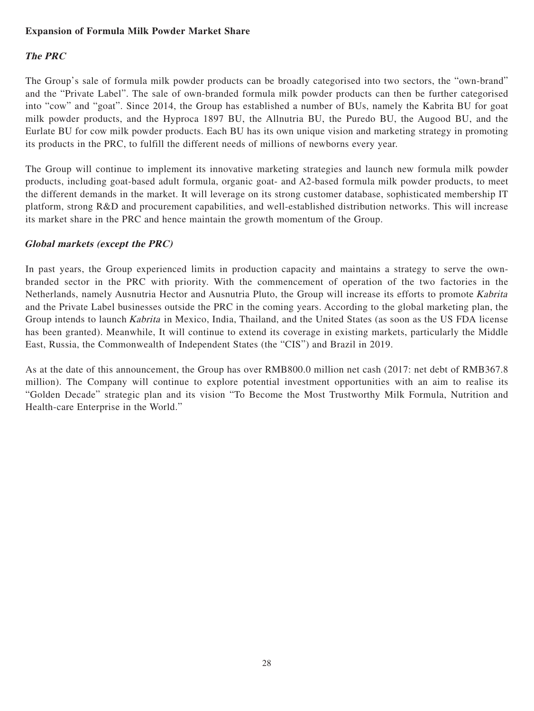# **Expansion of Formula Milk Powder Market Share**

# **The PRC**

The Group's sale of formula milk powder products can be broadly categorised into two sectors, the "own-brand" and the "Private Label". The sale of own-branded formula milk powder products can then be further categorised into "cow" and "goat". Since 2014, the Group has established a number of BUs, namely the Kabrita BU for goat milk powder products, and the Hyproca 1897 BU, the Allnutria BU, the Puredo BU, the Augood BU, and the Eurlate BU for cow milk powder products. Each BU has its own unique vision and marketing strategy in promoting its products in the PRC, to fulfill the different needs of millions of newborns every year.

The Group will continue to implement its innovative marketing strategies and launch new formula milk powder products, including goat-based adult formula, organic goat- and A2-based formula milk powder products, to meet the different demands in the market. It will leverage on its strong customer database, sophisticated membership IT platform, strong R&D and procurement capabilities, and well-established distribution networks. This will increase its market share in the PRC and hence maintain the growth momentum of the Group.

# **Global markets (except the PRC)**

In past years, the Group experienced limits in production capacity and maintains a strategy to serve the ownbranded sector in the PRC with priority. With the commencement of operation of the two factories in the Netherlands, namely Ausnutria Hector and Ausnutria Pluto, the Group will increase its efforts to promote Kabrita and the Private Label businesses outside the PRC in the coming years. According to the global marketing plan, the Group intends to launch Kabrita in Mexico, India, Thailand, and the United States (as soon as the US FDA license has been granted). Meanwhile, It will continue to extend its coverage in existing markets, particularly the Middle East, Russia, the Commonwealth of Independent States (the "CIS") and Brazil in 2019.

As at the date of this announcement, the Group has over RMB800.0 million net cash (2017: net debt of RMB367.8 million). The Company will continue to explore potential investment opportunities with an aim to realise its "Golden Decade" strategic plan and its vision "To Become the Most Trustworthy Milk Formula, Nutrition and Health-care Enterprise in the World."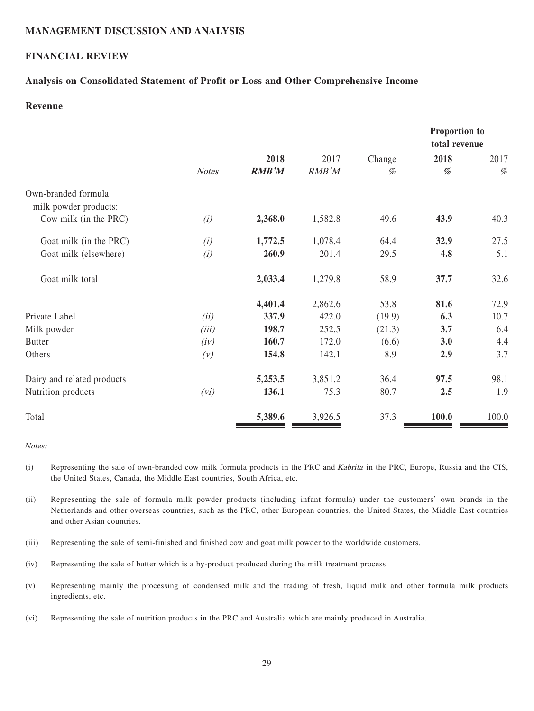### **MANAGEMENT DISCUSSION AND ANALYSIS**

# **FINANCIAL REVIEW**

### **Analysis on Consolidated Statement of Profit or Loss and Other Comprehensive Income**

# **Revenue**

|                            |              |              |         |        | Proportion to<br>total revenue                                                                                                  |       |
|----------------------------|--------------|--------------|---------|--------|---------------------------------------------------------------------------------------------------------------------------------|-------|
|                            |              | 2018         | 2017    | Change | 2018                                                                                                                            | 2017  |
|                            | <b>Notes</b> | <b>RMB'M</b> | RMB'M   | $\%$   | $% \mathcal{P}_{\mathcal{A}}^{\mathcal{A}}\!\left( \mathcal{A} \right) = \mathcal{A}^{\mathcal{A}}\!\left( \mathcal{A} \right)$ | $\%$  |
| Own-branded formula        |              |              |         |        |                                                                                                                                 |       |
| milk powder products:      |              |              |         |        |                                                                                                                                 |       |
| Cow milk (in the PRC)      | (i)          | 2,368.0      | 1,582.8 | 49.6   | 43.9                                                                                                                            | 40.3  |
| Goat milk (in the PRC)     | (i)          | 1,772.5      | 1,078.4 | 64.4   | 32.9                                                                                                                            | 27.5  |
| Goat milk (elsewhere)      | (i)          | 260.9        | 201.4   | 29.5   | 4.8                                                                                                                             | 5.1   |
| Goat milk total            |              | 2,033.4      | 1,279.8 | 58.9   | 37.7                                                                                                                            | 32.6  |
|                            |              | 4,401.4      | 2,862.6 | 53.8   | 81.6                                                                                                                            | 72.9  |
| Private Label              | (ii)         | 337.9        | 422.0   | (19.9) | 6.3                                                                                                                             | 10.7  |
| Milk powder                | (iii)        | 198.7        | 252.5   | (21.3) | 3.7                                                                                                                             | 6.4   |
| <b>Butter</b>              | (iv)         | 160.7        | 172.0   | (6.6)  | 3.0                                                                                                                             | 4.4   |
| Others                     | (V)          | 154.8        | 142.1   | 8.9    | 2.9                                                                                                                             | 3.7   |
| Dairy and related products |              | 5,253.5      | 3,851.2 | 36.4   | 97.5                                                                                                                            | 98.1  |
| Nutrition products         | (vi)         | 136.1        | 75.3    | 80.7   | 2.5                                                                                                                             | 1.9   |
| Total                      |              | 5,389.6      | 3,926.5 | 37.3   | 100.0                                                                                                                           | 100.0 |

#### Notes:

- (i) Representing the sale of own-branded cow milk formula products in the PRC and Kabrita in the PRC, Europe, Russia and the CIS, the United States, Canada, the Middle East countries, South Africa, etc.
- (ii) Representing the sale of formula milk powder products (including infant formula) under the customers' own brands in the Netherlands and other overseas countries, such as the PRC, other European countries, the United States, the Middle East countries and other Asian countries.
- (iii) Representing the sale of semi-finished and finished cow and goat milk powder to the worldwide customers.
- (iv) Representing the sale of butter which is a by-product produced during the milk treatment process.
- (v) Representing mainly the processing of condensed milk and the trading of fresh, liquid milk and other formula milk products ingredients, etc.
- (vi) Representing the sale of nutrition products in the PRC and Australia which are mainly produced in Australia.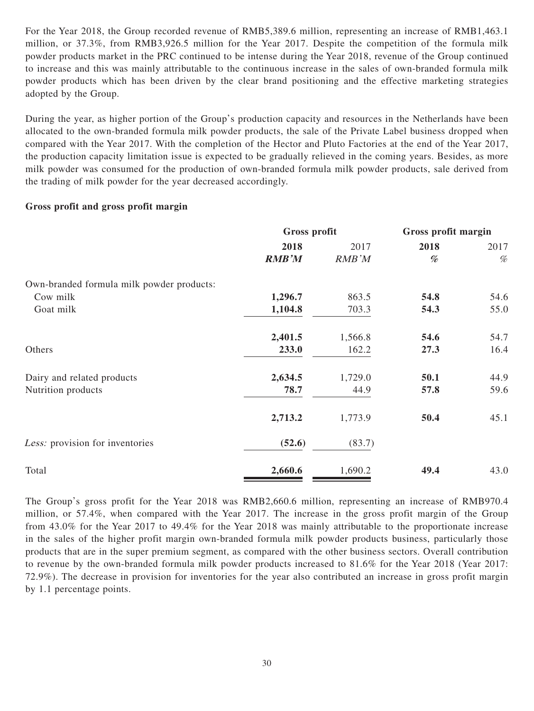For the Year 2018, the Group recorded revenue of RMB5,389.6 million, representing an increase of RMB1,463.1 million, or 37.3%, from RMB3,926.5 million for the Year 2017. Despite the competition of the formula milk powder products market in the PRC continued to be intense during the Year 2018, revenue of the Group continued to increase and this was mainly attributable to the continuous increase in the sales of own-branded formula milk powder products which has been driven by the clear brand positioning and the effective marketing strategies adopted by the Group.

During the year, as higher portion of the Group's production capacity and resources in the Netherlands have been allocated to the own-branded formula milk powder products, the sale of the Private Label business dropped when compared with the Year 2017. With the completion of the Hector and Pluto Factories at the end of the Year 2017, the production capacity limitation issue is expected to be gradually relieved in the coming years. Besides, as more milk powder was consumed for the production of own-branded formula milk powder products, sale derived from the trading of milk powder for the year decreased accordingly.

# **Gross profit and gross profit margin**

|                                           | Gross profit |         | Gross profit margin |      |
|-------------------------------------------|--------------|---------|---------------------|------|
|                                           | 2018         | 2017    | 2018                | 2017 |
|                                           | <b>RMB'M</b> | RMB'M   | %                   | $\%$ |
| Own-branded formula milk powder products: |              |         |                     |      |
| Cow milk                                  | 1,296.7      | 863.5   | 54.8                | 54.6 |
| Goat milk                                 | 1,104.8      | 703.3   | 54.3                | 55.0 |
|                                           | 2,401.5      | 1,566.8 | 54.6                | 54.7 |
| Others                                    | 233.0        | 162.2   | 27.3                | 16.4 |
| Dairy and related products                | 2,634.5      | 1,729.0 | 50.1                | 44.9 |
| Nutrition products                        | 78.7         | 44.9    | 57.8                | 59.6 |
|                                           | 2,713.2      | 1,773.9 | 50.4                | 45.1 |
| Less: provision for inventories           | (52.6)       | (83.7)  |                     |      |
| Total                                     | 2,660.6      | 1,690.2 | 49.4                | 43.0 |

The Group's gross profit for the Year 2018 was RMB2,660.6 million, representing an increase of RMB970.4 million, or 57.4%, when compared with the Year 2017. The increase in the gross profit margin of the Group from 43.0% for the Year 2017 to 49.4% for the Year 2018 was mainly attributable to the proportionate increase in the sales of the higher profit margin own-branded formula milk powder products business, particularly those products that are in the super premium segment, as compared with the other business sectors. Overall contribution to revenue by the own-branded formula milk powder products increased to 81.6% for the Year 2018 (Year 2017: 72.9%). The decrease in provision for inventories for the year also contributed an increase in gross profit margin by 1.1 percentage points.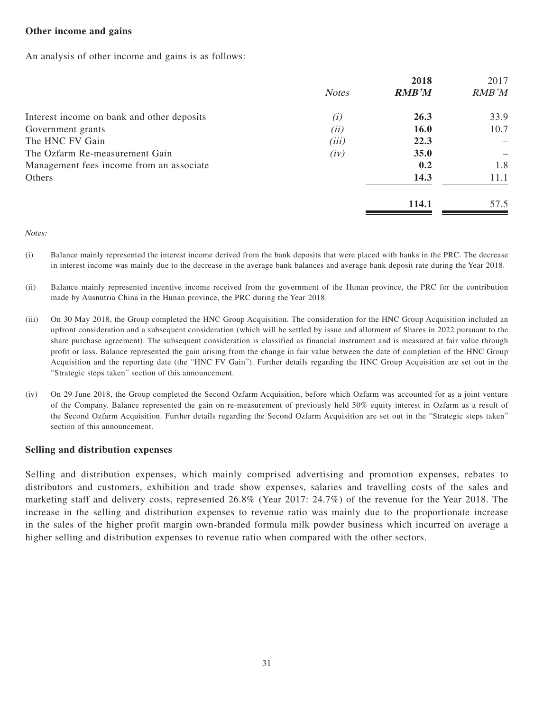# **Other income and gains**

An analysis of other income and gains is as follows:

|                                            |              | 2018         | 2017  |
|--------------------------------------------|--------------|--------------|-------|
|                                            | <b>Notes</b> | <b>RMB'M</b> | RMB'M |
| Interest income on bank and other deposits | (i)          | 26.3         | 33.9  |
| Government grants                          | (ii)         | 16.0         | 10.7  |
| The HNC FV Gain                            | (iii)        | 22.3         |       |
| The Ozfarm Re-measurement Gain             | (iv)         | 35.0         |       |
| Management fees income from an associate   |              | 0.2          | 1.8   |
| Others                                     |              | 14.3         | 11.1  |
|                                            |              | 114.1        | 57.5  |

Notes:

- (i) Balance mainly represented the interest income derived from the bank deposits that were placed with banks in the PRC. The decrease in interest income was mainly due to the decrease in the average bank balances and average bank deposit rate during the Year 2018.
- (ii) Balance mainly represented incentive income received from the government of the Hunan province, the PRC for the contribution made by Ausnutria China in the Hunan province, the PRC during the Year 2018.
- (iii) On 30 May 2018, the Group completed the HNC Group Acquisition. The consideration for the HNC Group Acquisition included an upfront consideration and a subsequent consideration (which will be settled by issue and allotment of Shares in 2022 pursuant to the share purchase agreement). The subsequent consideration is classified as financial instrument and is measured at fair value through profit or loss. Balance represented the gain arising from the change in fair value between the date of completion of the HNC Group Acquisition and the reporting date (the "HNC FV Gain"). Further details regarding the HNC Group Acquisition are set out in the "Strategic steps taken" section of this announcement.
- (iv) On 29 June 2018, the Group completed the Second Ozfarm Acquisition, before which Ozfarm was accounted for as a joint venture of the Company. Balance represented the gain on re-measurement of previously held 50% equity interest in Ozfarm as a result of the Second Ozfarm Acquisition. Further details regarding the Second Ozfarm Acquisition are set out in the "Strategic steps taken" section of this announcement.

# **Selling and distribution expenses**

Selling and distribution expenses, which mainly comprised advertising and promotion expenses, rebates to distributors and customers, exhibition and trade show expenses, salaries and travelling costs of the sales and marketing staff and delivery costs, represented 26.8% (Year 2017: 24.7%) of the revenue for the Year 2018. The increase in the selling and distribution expenses to revenue ratio was mainly due to the proportionate increase in the sales of the higher profit margin own-branded formula milk powder business which incurred on average a higher selling and distribution expenses to revenue ratio when compared with the other sectors.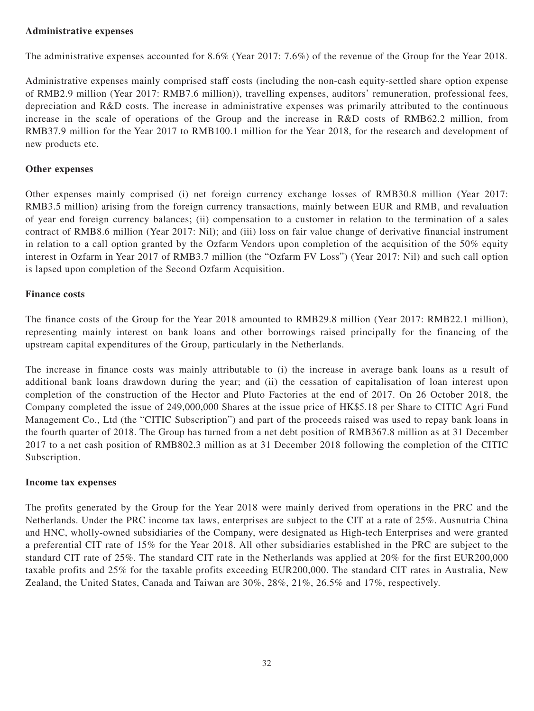# **Administrative expenses**

The administrative expenses accounted for 8.6% (Year 2017: 7.6%) of the revenue of the Group for the Year 2018.

Administrative expenses mainly comprised staff costs (including the non-cash equity-settled share option expense of RMB2.9 million (Year 2017: RMB7.6 million)), travelling expenses, auditors' remuneration, professional fees, depreciation and R&D costs. The increase in administrative expenses was primarily attributed to the continuous increase in the scale of operations of the Group and the increase in R&D costs of RMB62.2 million, from RMB37.9 million for the Year 2017 to RMB100.1 million for the Year 2018, for the research and development of new products etc.

# **Other expenses**

Other expenses mainly comprised (i) net foreign currency exchange losses of RMB30.8 million (Year 2017: RMB3.5 million) arising from the foreign currency transactions, mainly between EUR and RMB, and revaluation of year end foreign currency balances; (ii) compensation to a customer in relation to the termination of a sales contract of RMB8.6 million (Year 2017: Nil); and (iii) loss on fair value change of derivative financial instrument in relation to a call option granted by the Ozfarm Vendors upon completion of the acquisition of the 50% equity interest in Ozfarm in Year 2017 of RMB3.7 million (the "Ozfarm FV Loss") (Year 2017: Nil) and such call option is lapsed upon completion of the Second Ozfarm Acquisition.

# **Finance costs**

The finance costs of the Group for the Year 2018 amounted to RMB29.8 million (Year 2017: RMB22.1 million), representing mainly interest on bank loans and other borrowings raised principally for the financing of the upstream capital expenditures of the Group, particularly in the Netherlands.

The increase in finance costs was mainly attributable to (i) the increase in average bank loans as a result of additional bank loans drawdown during the year; and (ii) the cessation of capitalisation of loan interest upon completion of the construction of the Hector and Pluto Factories at the end of 2017. On 26 October 2018, the Company completed the issue of 249,000,000 Shares at the issue price of HK\$5.18 per Share to CITIC Agri Fund Management Co., Ltd (the "CITIC Subscription") and part of the proceeds raised was used to repay bank loans in the fourth quarter of 2018. The Group has turned from a net debt position of RMB367.8 million as at 31 December 2017 to a net cash position of RMB802.3 million as at 31 December 2018 following the completion of the CITIC Subscription.

# **Income tax expenses**

The profits generated by the Group for the Year 2018 were mainly derived from operations in the PRC and the Netherlands. Under the PRC income tax laws, enterprises are subject to the CIT at a rate of 25%. Ausnutria China and HNC, wholly-owned subsidiaries of the Company, were designated as High-tech Enterprises and were granted a preferential CIT rate of 15% for the Year 2018. All other subsidiaries established in the PRC are subject to the standard CIT rate of 25%. The standard CIT rate in the Netherlands was applied at 20% for the first EUR200,000 taxable profits and 25% for the taxable profits exceeding EUR200,000. The standard CIT rates in Australia, New Zealand, the United States, Canada and Taiwan are 30%, 28%, 21%, 26.5% and 17%, respectively.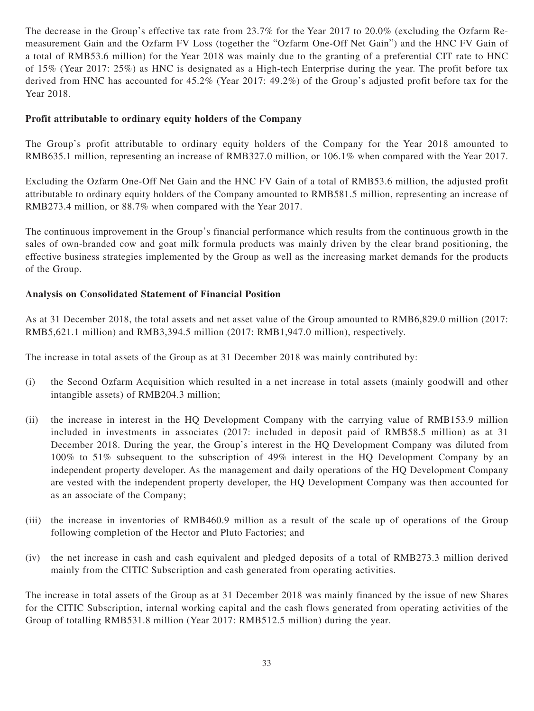The decrease in the Group's effective tax rate from 23.7% for the Year 2017 to 20.0% (excluding the Ozfarm Remeasurement Gain and the Ozfarm FV Loss (together the "Ozfarm One-Off Net Gain") and the HNC FV Gain of a total of RMB53.6 million) for the Year 2018 was mainly due to the granting of a preferential CIT rate to HNC of 15% (Year 2017: 25%) as HNC is designated as a High-tech Enterprise during the year. The profit before tax derived from HNC has accounted for 45.2% (Year 2017: 49.2%) of the Group's adjusted profit before tax for the Year 2018.

# **Profit attributable to ordinary equity holders of the Company**

The Group's profit attributable to ordinary equity holders of the Company for the Year 2018 amounted to RMB635.1 million, representing an increase of RMB327.0 million, or 106.1% when compared with the Year 2017.

Excluding the Ozfarm One-Off Net Gain and the HNC FV Gain of a total of RMB53.6 million, the adjusted profit attributable to ordinary equity holders of the Company amounted to RMB581.5 million, representing an increase of RMB273.4 million, or 88.7% when compared with the Year 2017.

The continuous improvement in the Group's financial performance which results from the continuous growth in the sales of own-branded cow and goat milk formula products was mainly driven by the clear brand positioning, the effective business strategies implemented by the Group as well as the increasing market demands for the products of the Group.

# **Analysis on Consolidated Statement of Financial Position**

As at 31 December 2018, the total assets and net asset value of the Group amounted to RMB6,829.0 million (2017: RMB5,621.1 million) and RMB3,394.5 million (2017: RMB1,947.0 million), respectively.

The increase in total assets of the Group as at 31 December 2018 was mainly contributed by:

- (i) the Second Ozfarm Acquisition which resulted in a net increase in total assets (mainly goodwill and other intangible assets) of RMB204.3 million;
- (ii) the increase in interest in the HQ Development Company with the carrying value of RMB153.9 million included in investments in associates (2017: included in deposit paid of RMB58.5 million) as at 31 December 2018. During the year, the Group's interest in the HQ Development Company was diluted from 100% to 51% subsequent to the subscription of 49% interest in the HQ Development Company by an independent property developer. As the management and daily operations of the HQ Development Company are vested with the independent property developer, the HQ Development Company was then accounted for as an associate of the Company;
- (iii) the increase in inventories of RMB460.9 million as a result of the scale up of operations of the Group following completion of the Hector and Pluto Factories; and
- (iv) the net increase in cash and cash equivalent and pledged deposits of a total of RMB273.3 million derived mainly from the CITIC Subscription and cash generated from operating activities.

The increase in total assets of the Group as at 31 December 2018 was mainly financed by the issue of new Shares for the CITIC Subscription, internal working capital and the cash flows generated from operating activities of the Group of totalling RMB531.8 million (Year 2017: RMB512.5 million) during the year.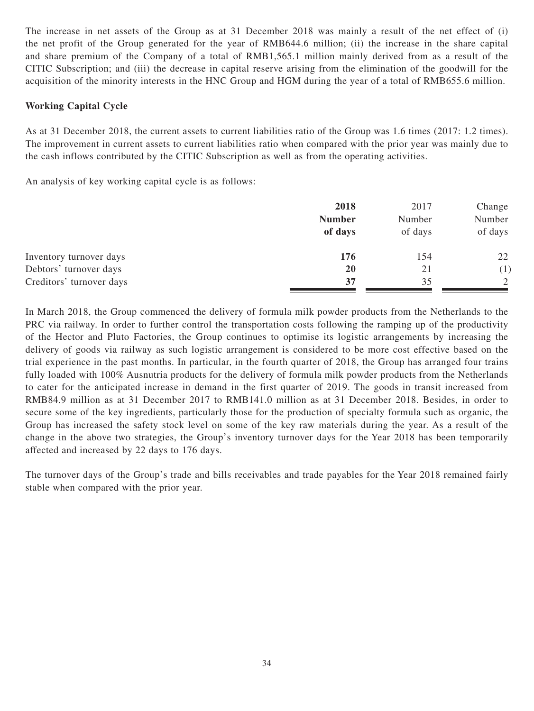The increase in net assets of the Group as at 31 December 2018 was mainly a result of the net effect of (i) the net profit of the Group generated for the year of RMB644.6 million; (ii) the increase in the share capital and share premium of the Company of a total of RMB1,565.1 million mainly derived from as a result of the CITIC Subscription; and (iii) the decrease in capital reserve arising from the elimination of the goodwill for the acquisition of the minority interests in the HNC Group and HGM during the year of a total of RMB655.6 million.

# **Working Capital Cycle**

As at 31 December 2018, the current assets to current liabilities ratio of the Group was 1.6 times (2017: 1.2 times). The improvement in current assets to current liabilities ratio when compared with the prior year was mainly due to the cash inflows contributed by the CITIC Subscription as well as from the operating activities.

An analysis of key working capital cycle is as follows:

|                          | 2018<br><b>Number</b><br>of days | 2017<br>Number<br>of days | Change<br>Number<br>of days |
|--------------------------|----------------------------------|---------------------------|-----------------------------|
| Inventory turnover days  | 176                              | 154                       | 22                          |
| Debtors' turnover days   | <b>20</b>                        | 21                        | (1)                         |
| Creditors' turnover days | 37                               | 35                        | 2                           |

In March 2018, the Group commenced the delivery of formula milk powder products from the Netherlands to the PRC via railway. In order to further control the transportation costs following the ramping up of the productivity of the Hector and Pluto Factories, the Group continues to optimise its logistic arrangements by increasing the delivery of goods via railway as such logistic arrangement is considered to be more cost effective based on the trial experience in the past months. In particular, in the fourth quarter of 2018, the Group has arranged four trains fully loaded with 100% Ausnutria products for the delivery of formula milk powder products from the Netherlands to cater for the anticipated increase in demand in the first quarter of 2019. The goods in transit increased from RMB84.9 million as at 31 December 2017 to RMB141.0 million as at 31 December 2018. Besides, in order to secure some of the key ingredients, particularly those for the production of specialty formula such as organic, the Group has increased the safety stock level on some of the key raw materials during the year. As a result of the change in the above two strategies, the Group's inventory turnover days for the Year 2018 has been temporarily affected and increased by 22 days to 176 days.

The turnover days of the Group's trade and bills receivables and trade payables for the Year 2018 remained fairly stable when compared with the prior year.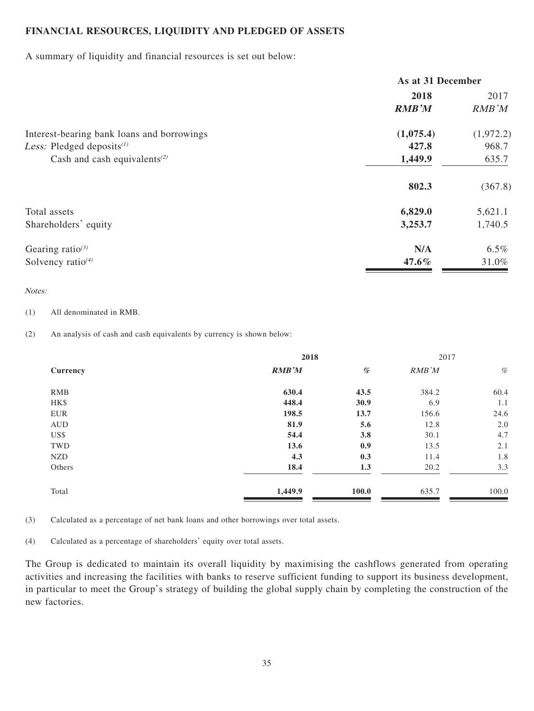# **FINANCIAL RESOURCES, LIQUIDITY AND PLEDGED OF ASSETS**

A summary of liquidity and financial resources is set out below:

|                                                       | As at 31 December |           |  |
|-------------------------------------------------------|-------------------|-----------|--|
|                                                       | 2018              | 2017      |  |
|                                                       | <b>RMB'M</b>      | RMB'M     |  |
| Interest-bearing bank loans and borrowings            | (1,075.4)         | (1,972.2) |  |
| <i>Less:</i> Pledged deposits $(1)$                   | 427.8             | 968.7     |  |
| Cash and cash equivalents <sup><math>(2)</math></sup> | 1,449.9           | 635.7     |  |
|                                                       | 802.3             | (367.8)   |  |
| Total assets                                          | 6,829.0           | 5,621.1   |  |
| Shareholders' equity                                  | 3,253.7           | 1,740.5   |  |
| Gearing ratio $^{(3)}$                                | N/A               | $6.5\%$   |  |
| Solvency ratio $(4)$                                  | $47.6\%$          | 31.0%     |  |

### Notes:

(1) All denominated in RMB.

(2) An analysis of cash and cash equivalents by currency is shown below:

|            | 2018    |       | 2017  |       |
|------------|---------|-------|-------|-------|
| Currency   | RMB'M   | %     | RMB'M | $\%$  |
| <b>RMB</b> | 630.4   | 43.5  | 384.2 | 60.4  |
| HK\$       | 448.4   | 30.9  | 6.9   | 1.1   |
| EUR        | 198.5   | 13.7  | 156.6 | 24.6  |
| <b>AUD</b> | 81.9    | 5.6   | 12.8  | 2.0   |
| US\$       | 54.4    | 3.8   | 30.1  | 4.7   |
| TWD        | 13.6    | 0.9   | 13.5  | 2.1   |
| <b>NZD</b> | 4.3     | 0.3   | 11.4  | 1.8   |
| Others     | 18.4    | 1.3   | 20.2  | 3.3   |
| Total      | 1,449.9 | 100.0 | 635.7 | 100.0 |

(3) Calculated as a percentage of net bank loans and other borrowings over total assets.

(4) Calculated as a percentage of shareholders' equity over total assets.

The Group is dedicated to maintain its overall liquidity by maximising the cashflows generated from operating activities and increasing the facilities with banks to reserve sufficient funding to support its business development, in particular to meet the Group's strategy of building the global supply chain by completing the construction of the new factories.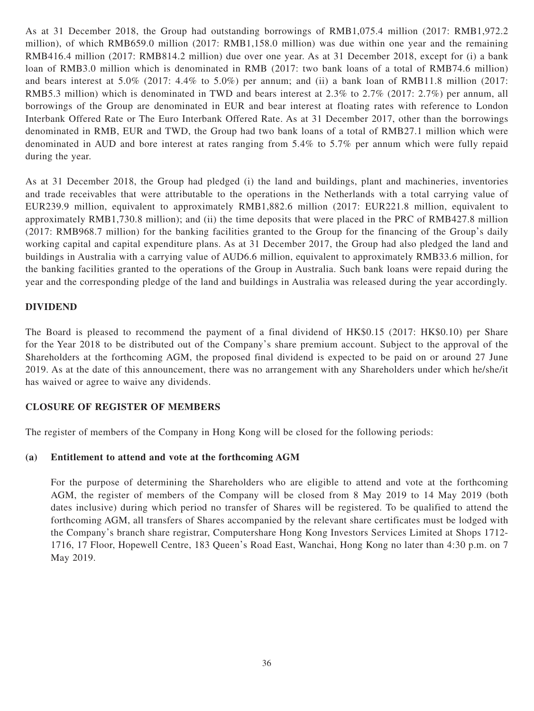As at 31 December 2018, the Group had outstanding borrowings of RMB1,075.4 million (2017: RMB1,972.2 million), of which RMB659.0 million (2017: RMB1,158.0 million) was due within one year and the remaining RMB416.4 million (2017: RMB814.2 million) due over one year. As at 31 December 2018, except for (i) a bank loan of RMB3.0 million which is denominated in RMB (2017: two bank loans of a total of RMB74.6 million) and bears interest at 5.0% (2017: 4.4% to 5.0%) per annum; and (ii) a bank loan of RMB11.8 million (2017: RMB5.3 million) which is denominated in TWD and bears interest at 2.3% to 2.7% (2017: 2.7%) per annum, all borrowings of the Group are denominated in EUR and bear interest at floating rates with reference to London Interbank Offered Rate or The Euro Interbank Offered Rate. As at 31 December 2017, other than the borrowings denominated in RMB, EUR and TWD, the Group had two bank loans of a total of RMB27.1 million which were denominated in AUD and bore interest at rates ranging from 5.4% to 5.7% per annum which were fully repaid during the year.

As at 31 December 2018, the Group had pledged (i) the land and buildings, plant and machineries, inventories and trade receivables that were attributable to the operations in the Netherlands with a total carrying value of EUR239.9 million, equivalent to approximately RMB1,882.6 million (2017: EUR221.8 million, equivalent to approximately RMB1,730.8 million); and (ii) the time deposits that were placed in the PRC of RMB427.8 million (2017: RMB968.7 million) for the banking facilities granted to the Group for the financing of the Group's daily working capital and capital expenditure plans. As at 31 December 2017, the Group had also pledged the land and buildings in Australia with a carrying value of AUD6.6 million, equivalent to approximately RMB33.6 million, for the banking facilities granted to the operations of the Group in Australia. Such bank loans were repaid during the year and the corresponding pledge of the land and buildings in Australia was released during the year accordingly.

# **DIVIDEND**

The Board is pleased to recommend the payment of a final dividend of HK\$0.15 (2017: HK\$0.10) per Share for the Year 2018 to be distributed out of the Company's share premium account. Subject to the approval of the Shareholders at the forthcoming AGM, the proposed final dividend is expected to be paid on or around 27 June 2019. As at the date of this announcement, there was no arrangement with any Shareholders under which he/she/it has waived or agree to waive any dividends.

# **CLOSURE OF REGISTER OF MEMBERS**

The register of members of the Company in Hong Kong will be closed for the following periods:

# **(a) Entitlement to attend and vote at the forthcoming AGM**

For the purpose of determining the Shareholders who are eligible to attend and vote at the forthcoming AGM, the register of members of the Company will be closed from 8 May 2019 to 14 May 2019 (both dates inclusive) during which period no transfer of Shares will be registered. To be qualified to attend the forthcoming AGM, all transfers of Shares accompanied by the relevant share certificates must be lodged with the Company's branch share registrar, Computershare Hong Kong Investors Services Limited at Shops 1712- 1716, 17 Floor, Hopewell Centre, 183 Queen's Road East, Wanchai, Hong Kong no later than 4:30 p.m. on 7 May 2019.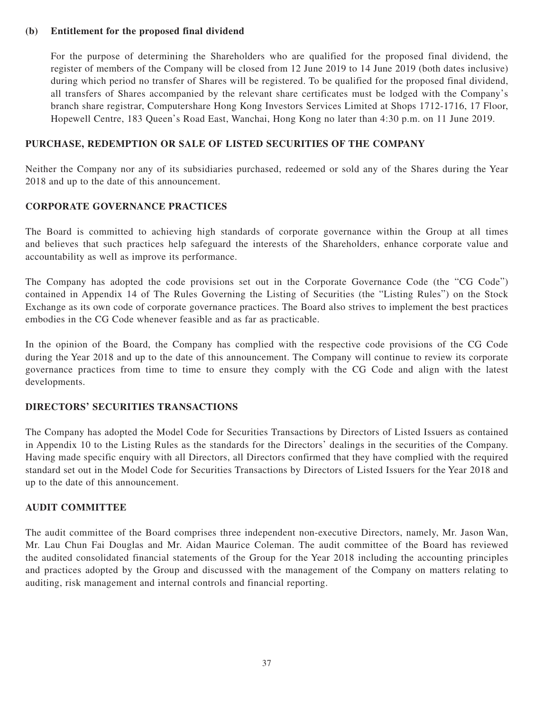# **(b) Entitlement for the proposed final dividend**

For the purpose of determining the Shareholders who are qualified for the proposed final dividend, the register of members of the Company will be closed from 12 June 2019 to 14 June 2019 (both dates inclusive) during which period no transfer of Shares will be registered. To be qualified for the proposed final dividend, all transfers of Shares accompanied by the relevant share certificates must be lodged with the Company's branch share registrar, Computershare Hong Kong Investors Services Limited at Shops 1712-1716, 17 Floor, Hopewell Centre, 183 Queen's Road East, Wanchai, Hong Kong no later than 4:30 p.m. on 11 June 2019.

# **PURCHASE, REDEMPTION OR SALE OF LISTED SECURITIES OF THE COMPANY**

Neither the Company nor any of its subsidiaries purchased, redeemed or sold any of the Shares during the Year 2018 and up to the date of this announcement.

# **CORPORATE GOVERNANCE PRACTICES**

The Board is committed to achieving high standards of corporate governance within the Group at all times and believes that such practices help safeguard the interests of the Shareholders, enhance corporate value and accountability as well as improve its performance.

The Company has adopted the code provisions set out in the Corporate Governance Code (the "CG Code") contained in Appendix 14 of The Rules Governing the Listing of Securities (the "Listing Rules") on the Stock Exchange as its own code of corporate governance practices. The Board also strives to implement the best practices embodies in the CG Code whenever feasible and as far as practicable.

In the opinion of the Board, the Company has complied with the respective code provisions of the CG Code during the Year 2018 and up to the date of this announcement. The Company will continue to review its corporate governance practices from time to time to ensure they comply with the CG Code and align with the latest developments.

# **DIRECTORS' SECURITIES TRANSACTIONS**

The Company has adopted the Model Code for Securities Transactions by Directors of Listed Issuers as contained in Appendix 10 to the Listing Rules as the standards for the Directors' dealings in the securities of the Company. Having made specific enquiry with all Directors, all Directors confirmed that they have complied with the required standard set out in the Model Code for Securities Transactions by Directors of Listed Issuers for the Year 2018 and up to the date of this announcement.

# **AUDIT COMMITTEE**

The audit committee of the Board comprises three independent non-executive Directors, namely, Mr. Jason Wan, Mr. Lau Chun Fai Douglas and Mr. Aidan Maurice Coleman. The audit committee of the Board has reviewed the audited consolidated financial statements of the Group for the Year 2018 including the accounting principles and practices adopted by the Group and discussed with the management of the Company on matters relating to auditing, risk management and internal controls and financial reporting.